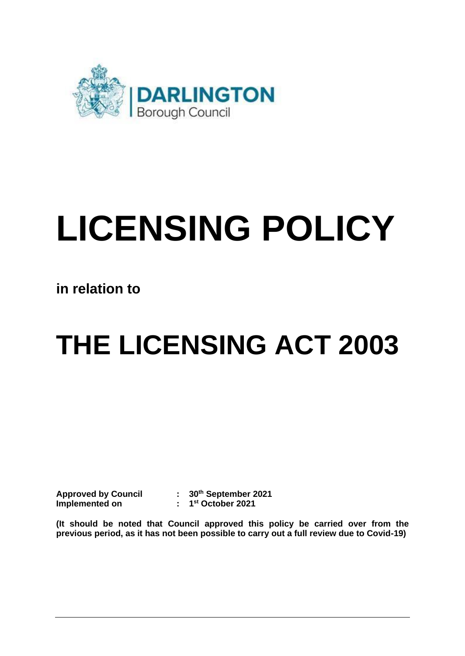

# **LICENSING POLICY**

**in relation to** 

## **THE LICENSING ACT 2003**

**Approved by Council Approved by Council : 30th September 2021 Implemented on : 1st October 2021** 

 **(It should be noted that Council approved this policy be carried over from the previous period, as it has not been possible to carry out a full review due to Covid-19)**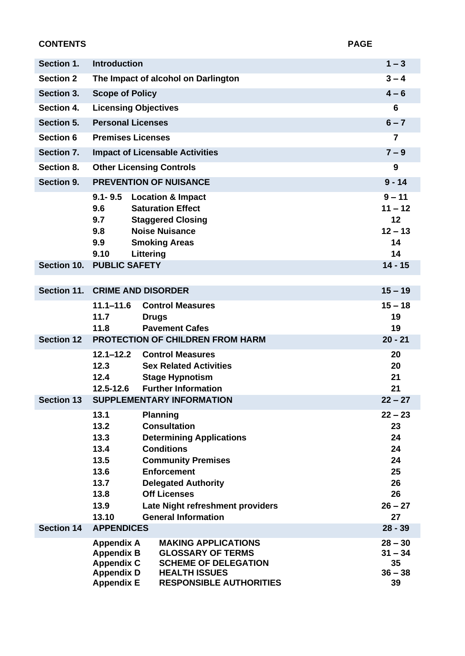| <b>CONTENTS</b>   |                                                                                                       |                                                                                                                                                                                                                                                                          | <b>PAGE</b>                                                            |  |
|-------------------|-------------------------------------------------------------------------------------------------------|--------------------------------------------------------------------------------------------------------------------------------------------------------------------------------------------------------------------------------------------------------------------------|------------------------------------------------------------------------|--|
| Section 1.        | <b>Introduction</b>                                                                                   |                                                                                                                                                                                                                                                                          | $1 - 3$                                                                |  |
| <b>Section 2</b>  | The Impact of alcohol on Darlington                                                                   | $3 - 4$                                                                                                                                                                                                                                                                  |                                                                        |  |
| Section 3.        | <b>Scope of Policy</b>                                                                                | $4 - 6$                                                                                                                                                                                                                                                                  |                                                                        |  |
| Section 4.        | <b>Licensing Objectives</b>                                                                           |                                                                                                                                                                                                                                                                          | 6                                                                      |  |
| Section 5.        |                                                                                                       | <b>Personal Licenses</b>                                                                                                                                                                                                                                                 |                                                                        |  |
| <b>Section 6</b>  | <b>Premises Licenses</b>                                                                              | 7                                                                                                                                                                                                                                                                        |                                                                        |  |
| Section 7.        | <b>Impact of Licensable Activities</b>                                                                | $7 - 9$                                                                                                                                                                                                                                                                  |                                                                        |  |
| Section 8.        | <b>Other Licensing Controls</b>                                                                       | 9                                                                                                                                                                                                                                                                        |                                                                        |  |
| Section 9.        | <b>PREVENTION OF NUISANCE</b>                                                                         | $9 - 14$                                                                                                                                                                                                                                                                 |                                                                        |  |
|                   | $9.1 - 9.5$<br>9.6<br>9.7<br>9.8<br>9.9<br>9.10<br>Littering                                          | <b>Location &amp; Impact</b><br><b>Saturation Effect</b><br><b>Staggered Closing</b><br><b>Noise Nuisance</b><br><b>Smoking Areas</b>                                                                                                                                    | $9 - 11$<br>$11 - 12$<br>12<br>$12 - 13$<br>14<br>14                   |  |
| Section 10.       | <b>PUBLIC SAFETY</b>                                                                                  |                                                                                                                                                                                                                                                                          | $14 - 15$                                                              |  |
| Section 11.       | <b>CRIME AND DISORDER</b>                                                                             |                                                                                                                                                                                                                                                                          | $15 - 19$                                                              |  |
|                   | $11.1 - 11.6$<br>11.7<br>11.8                                                                         | <b>Control Measures</b><br><b>Drugs</b><br><b>Pavement Cafes</b>                                                                                                                                                                                                         | $15 - 18$<br>19<br>19                                                  |  |
| <b>Section 12</b> |                                                                                                       | <b>PROTECTION OF CHILDREN FROM HARM</b>                                                                                                                                                                                                                                  | $20 - 21$                                                              |  |
| <b>Section 13</b> | $12.1 - 12.2$<br>12.3<br>12.4<br>12.5-12.6                                                            | <b>Control Measures</b><br><b>Sex Related Activities</b><br><b>Stage Hypnotism</b><br><b>Further Information</b><br><b>SUPPLEMENTARY INFORMATION</b>                                                                                                                     | 20<br>20<br>21<br>21<br>$22 - 27$                                      |  |
|                   | 13.1<br>13.2<br>13.3<br>13.4<br>13.5<br>13.6<br>13.7<br>13.8<br>13.9<br>13.10                         | <b>Planning</b><br><b>Consultation</b><br><b>Determining Applications</b><br><b>Conditions</b><br><b>Community Premises</b><br><b>Enforcement</b><br><b>Delegated Authority</b><br><b>Off Licenses</b><br>Late Night refreshment providers<br><b>General Information</b> | $22 - 23$<br>23<br>24<br>24<br>24<br>25<br>26<br>26<br>$26 - 27$<br>27 |  |
| <b>Section 14</b> | <b>APPENDICES</b>                                                                                     |                                                                                                                                                                                                                                                                          | $28 - 39$                                                              |  |
|                   | <b>Appendix A</b><br><b>Appendix B</b><br><b>Appendix C</b><br><b>Appendix D</b><br><b>Appendix E</b> | <b>MAKING APPLICATIONS</b><br><b>GLOSSARY OF TERMS</b><br><b>SCHEME OF DELEGATION</b><br><b>HEALTH ISSUES</b><br><b>RESPONSIBLE AUTHORITIES</b>                                                                                                                          | $28 - 30$<br>$31 - 34$<br>35<br>$36 - 38$<br>39                        |  |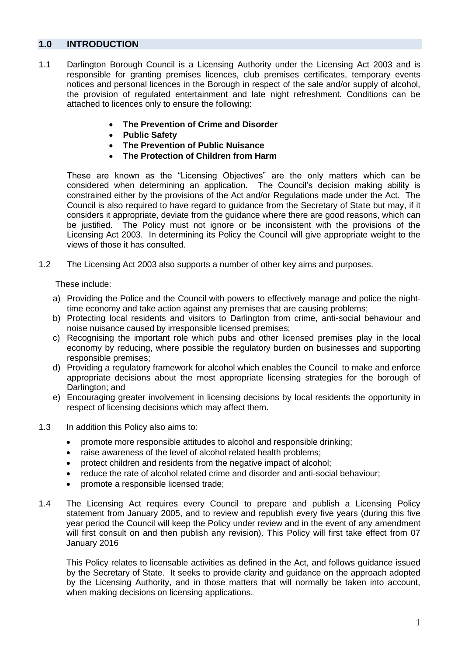#### **1.0 INTRODUCTION**

- 1.1 Darlington Borough Council is a Licensing Authority under the Licensing Act 2003 and is responsible for granting premises licences, club premises certificates, temporary events notices and personal licences in the Borough in respect of the sale and/or supply of alcohol, the provision of regulated entertainment and late night refreshment. Conditions can be attached to licences only to ensure the following:
	- **The Prevention of Crime and Disorder**
	- **Public Safety**
	- **The Prevention of Public Nuisance**
	- **The Protection of Children from Harm**

 These are known as the "Licensing Objectives" are the only matters which can be considered when determining an application. The Council's decision making ability is constrained either by the provisions of the Act and/or Regulations made under the Act. The Council is also required to have regard to guidance from the Secretary of State but may, if it considers it appropriate, deviate from the guidance where there are good reasons, which can be justified. The Policy must not ignore or be inconsistent with the provisions of the Licensing Act 2003. In determining its Policy the Council will give appropriate weight to the views of those it has consulted.

1.2 The Licensing Act 2003 also supports a number of other key aims and purposes.

These include:

- a) Providing the Police and the Council with powers to effectively manage and police the night-time economy and take action against any premises that are causing problems;
- b) Protecting local residents and visitors to Darlington from crime, anti-social behaviour and noise nuisance caused by irresponsible licensed premises;
- c) Recognising the important role which pubs and other licensed premises play in the local economy by reducing, where possible the regulatory burden on businesses and supporting responsible premises;
- d) Providing a regulatory framework for alcohol which enables the Council to make and enforce appropriate decisions about the most appropriate licensing strategies for the borough of Darlington; and
- e) Encouraging greater involvement in licensing decisions by local residents the opportunity in respect of licensing decisions which may affect them.
- 1.3 In addition this Policy also aims to:
	- promote more responsible attitudes to alcohol and responsible drinking;
	- raise awareness of the level of alcohol related health problems;
	- protect children and residents from the negative impact of alcohol;
	- reduce the rate of alcohol related crime and disorder and anti-social behaviour;
	- promote a responsible licensed trade;
- 1.4 The Licensing Act requires every Council to prepare and publish a Licensing Policy statement from January 2005, and to review and republish every five years (during this five year period the Council will keep the Policy under review and in the event of any amendment will first consult on and then publish any revision). This Policy will first take effect from 07 January 2016

 This Policy relates to licensable activities as defined in the Act, and follows guidance issued by the Secretary of State. It seeks to provide clarity and guidance on the approach adopted by the Licensing Authority, and in those matters that will normally be taken into account, when making decisions on licensing applications.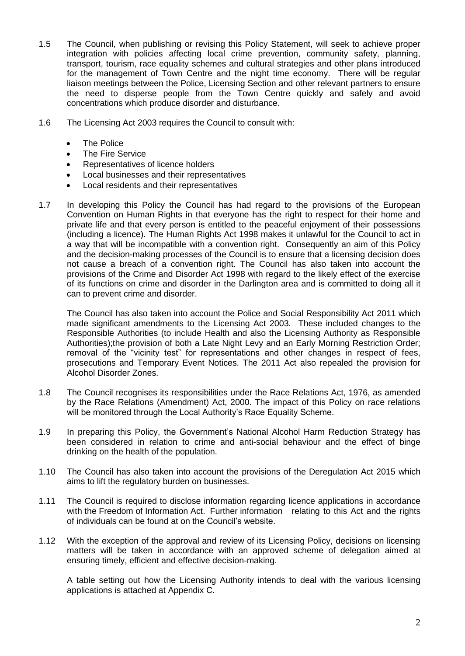- 1.5 The Council, when publishing or revising this Policy Statement, will seek to achieve proper integration with policies affecting local crime prevention, community safety, planning, transport, tourism, race equality schemes and cultural strategies and other plans introduced for the management of Town Centre and the night time economy. There will be regular liaison meetings between the Police, Licensing Section and other relevant partners to ensure the need to disperse people from the Town Centre quickly and safely and avoid concentrations which produce disorder and disturbance.
- 1.6 The Licensing Act 2003 requires the Council to consult with:
	- The Police
	- The Fire Service
	- Representatives of licence holders
	- Local businesses and their representatives
	- Local residents and their representatives
- 1.7 In developing this Policy the Council has had regard to the provisions of the European Convention on Human Rights in that everyone has the right to respect for their home and private life and that every person is entitled to the peaceful enjoyment of their possessions (including a licence). The Human Rights Act 1998 makes it unlawful for the Council to act in a way that will be incompatible with a convention right. Consequently an aim of this Policy and the decision-making processes of the Council is to ensure that a licensing decision does not cause a breach of a convention right. The Council has also taken into account the provisions of the Crime and Disorder Act 1998 with regard to the likely effect of the exercise of its functions on crime and disorder in the Darlington area and is committed to doing all it can to prevent crime and disorder.

 The Council has also taken into account the Police and Social Responsibility Act 2011 which made significant amendments to the Licensing Act 2003. These included changes to the Responsible Authorities (to include Health and also the Licensing Authority as Responsible Authorities);the provision of both a Late Night Levy and an Early Morning Restriction Order; removal of the "vicinity test" for representations and other changes in respect of fees, prosecutions and Temporary Event Notices. The 2011 Act also repealed the provision for Alcohol Disorder Zones.

- 1.8 The Council recognises its responsibilities under the Race Relations Act, 1976, as amended by the Race Relations (Amendment) Act, 2000. The impact of this Policy on race relations will be monitored through the Local Authority's Race Equality Scheme.
- 1.9 In preparing this Policy, the Government's National Alcohol Harm Reduction Strategy has been considered in relation to crime and anti-social behaviour and the effect of binge drinking on the health of the population.
- 1.10 The Council has also taken into account the provisions of the Deregulation Act 2015 which aims to lift the regulatory burden on businesses.
- 1.11 The Council is required to disclose information regarding licence applications in accordance with the Freedom of Information Act. Further information relating to this Act and the rights of individuals can be found at on the Council's website.
- 1.12 With the exception of the approval and review of its Licensing Policy, decisions on licensing matters will be taken in accordance with an approved scheme of delegation aimed at ensuring timely, efficient and effective decision-making.

 A table setting out how the Licensing Authority intends to deal with the various licensing applications is attached at Appendix C.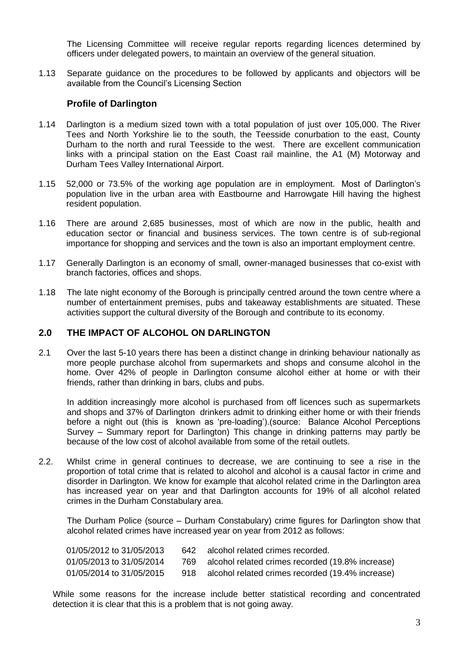The Licensing Committee will receive regular reports regarding licences determined by officers under delegated powers, to maintain an overview of the general situation.

 1.13 Separate guidance on the procedures to be followed by applicants and objectors will be available from the Council's Licensing Section

#### **Profile of Darlington**

- 1.14 Darlington is a medium sized town with a total population of just over 105,000. The River Tees and North Yorkshire lie to the south, the Teesside conurbation to the east, County Durham to the north and rural Teesside to the west. There are excellent communication links with a principal station on the East Coast rail mainline, the A1 (M) Motorway and Durham Tees Valley International Airport.
- 1.15 52,000 or 73.5% of the working age population are in employment. Most of Darlington's population live in the urban area with Eastbourne and Harrowgate Hill having the highest resident population.
- 1.16 There are around 2,685 businesses, most of which are now in the public, health and education sector or financial and business services. The town centre is of sub-regional importance for shopping and services and the town is also an important employment centre.
- 1.17 Generally Darlington is an economy of small, owner-managed businesses that co-exist with branch factories, offices and shops.
- 1.18 The late night economy of the Borough is principally centred around the town centre where a number of entertainment premises, pubs and takeaway establishments are situated. These activities support the cultural diversity of the Borough and contribute to its economy.

#### **2.0 THE IMPACT OF ALCOHOL ON DARLINGTON**

 2.1 Over the last 5-10 years there has been a distinct change in drinking behaviour nationally as more people purchase alcohol from supermarkets and shops and consume alcohol in the home. Over 42% of people in Darlington consume alcohol either at home or with their friends, rather than drinking in bars, clubs and pubs.

 In addition increasingly more alcohol is purchased from off licences such as supermarkets and shops and 37% of Darlington drinkers admit to drinking either home or with their friends before a night out (this is known as 'pre-loading').(source: Balance Alcohol Perceptions Survey – Summary report for Darlington) This change in drinking patterns may partly be because of the low cost of alcohol available from some of the retail outlets.

 2.2. Whilst crime in general continues to decrease, we are continuing to see a rise in the proportion of total crime that is related to alcohol and alcohol is a causal factor in crime and disorder in Darlington. We know for example that alcohol related crime in the Darlington area has increased year on year and that Darlington accounts for 19% of all alcohol related crimes in the Durham Constabulary area.

 The Durham Police (source – Durham Constabulary) crime figures for Darlington show that alcohol related crimes have increased year on year from 2012 as follows:

| 01/05/2012 to 31/05/2013 | 642 alcohol related crimes recorded.                 |
|--------------------------|------------------------------------------------------|
| 01/05/2013 to 31/05/2014 | 769 alcohol related crimes recorded (19.8% increase) |
| 01/05/2014 to 31/05/2015 | 918 alcohol related crimes recorded (19.4% increase) |

 While some reasons for the increase include better statistical recording and concentrated detection it is clear that this is a problem that is not going away.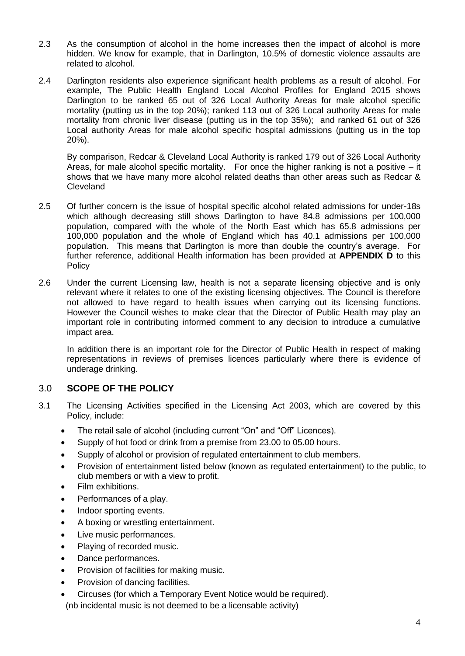- 2.3 As the consumption of alcohol in the home increases then the impact of alcohol is more hidden. We know for example, that in Darlington, 10.5% of domestic violence assaults are related to alcohol.
- 2.4 Darlington residents also experience significant health problems as a result of alcohol. For example, The Public Health England Local Alcohol Profiles for England 2015 shows Darlington to be ranked 65 out of 326 Local Authority Areas for male alcohol specific mortality (putting us in the top 20%); ranked 113 out of 326 Local authority Areas for male mortality from chronic liver disease (putting us in the top 35%); and ranked 61 out of 326 Local authority Areas for male alcohol specific hospital admissions (putting us in the top  $20\%$ ).

20%).<br>By comparison, Redcar & Cleveland Local Authority is ranked 179 out of 326 Local Authority Areas, for male alcohol specific mortality. For once the higher ranking is not a positive – it shows that we have many more alcohol related deaths than other areas such as Redcar & Cleveland

- 2.5 Of further concern is the issue of hospital specific alcohol related admissions for under-18s which although decreasing still shows Darlington to have 84.8 admissions per 100,000 population, compared with the whole of the North East which has 65.8 admissions per 100,000 population and the whole of England which has 40.1 admissions per 100,000 population. This means that Darlington is more than double the country's average. For further reference, additional Health information has been provided at **APPENDIX D** to this **Policy**
- 2.6 Under the current Licensing law, health is not a separate licensing objective and is only relevant where it relates to one of the existing licensing objectives. The Council is therefore not allowed to have regard to health issues when carrying out its licensing functions. However the Council wishes to make clear that the Director of Public Health may play an important role in contributing informed comment to any decision to introduce a cumulative impact area.

 In addition there is an important role for the Director of Public Health in respect of making representations in reviews of premises licences particularly where there is evidence of underage drinking.

## 3.0 **SCOPE OF THE POLICY**

- 3.1 The Licensing Activities specified in the Licensing Act 2003, which are covered by this Policy, include:
	- The retail sale of alcohol (including current "On" and "Off" Licences).
	- Supply of hot food or drink from a premise from 23.00 to 05.00 hours.
	- Supply of alcohol or provision of regulated entertainment to club members.
	- • Provision of entertainment listed below (known as regulated entertainment) to the public, to club members or with a view to profit.
	- Film exhibitions.
	- Performances of a play.
	- Indoor sporting events.
	- A boxing or wrestling entertainment.
	- Live music performances.
	- Playing of recorded music.
	- Dance performances.
	- Provision of facilities for making music.
	- Provision of dancing facilities.
	- Circuses (for which a Temporary Event Notice would be required).
	- (nb incidental music is not deemed to be a licensable activity)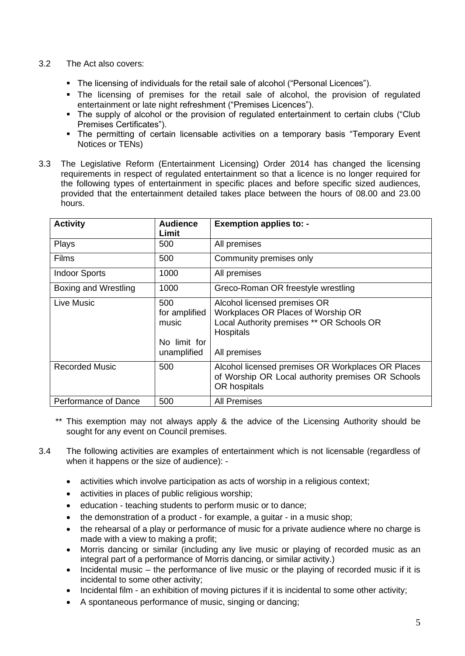#### 3.2 The Act also covers:

- The licensing of individuals for the retail sale of alcohol ("Personal Licences").
- **The licensing of premises for the retail sale of alcohol, the provision of regulated** entertainment or late night refreshment ("Premises Licences").
- The supply of alcohol or the provision of regulated entertainment to certain clubs ("Club Premises Certificates").
- **The permitting of certain licensable activities on a temporary basis "Temporary Event** Notices or TENs)
- 3.3 The Legislative Reform (Entertainment Licensing) Order 2014 has changed the licensing requirements in respect of regulated entertainment so that a licence is no longer required for the following types of entertainment in specific places and before specific sized audiences, provided that the entertainment detailed takes place between the hours of 08.00 and 23.00 hours.

| <b>Activity</b>       | <b>Audience</b><br>Limit                                     | <b>Exemption applies to: -</b>                                                                                                                      |
|-----------------------|--------------------------------------------------------------|-----------------------------------------------------------------------------------------------------------------------------------------------------|
| Plays                 | 500                                                          | All premises                                                                                                                                        |
| Films                 | 500                                                          | Community premises only                                                                                                                             |
| <b>Indoor Sports</b>  | 1000                                                         | All premises                                                                                                                                        |
| Boxing and Wrestling  | 1000                                                         | Greco-Roman OR freestyle wrestling                                                                                                                  |
| Live Music            | 500<br>for amplified<br>music<br>No limit for<br>unamplified | Alcohol licensed premises OR<br>Workplaces OR Places of Worship OR<br>Local Authority premises ** OR Schools OR<br><b>Hospitals</b><br>All premises |
| <b>Recorded Music</b> | 500                                                          | Alcohol licensed premises OR Workplaces OR Places<br>of Worship OR Local authority premises OR Schools<br>OR hospitals                              |
| Performance of Dance  | 500                                                          | <b>All Premises</b>                                                                                                                                 |

- \*\* This exemption may not always apply & the advice of the Licensing Authority should be sought for any event on Council premises.
- when it happens or the size of audience): 3.4 The following activities are examples of entertainment which is not licensable (regardless of
	- activities which involve participation as acts of worship in a religious context;
	- activities in places of public religious worship;
	- education teaching students to perform music or to dance;
	- the demonstration of a product for example, a guitar in a music shop;
	- • the rehearsal of a play or performance of music for a private audience where no charge is made with a view to making a profit;
	- integral part of a performance of Morris dancing, or similar activity.) • Morris dancing or similar (including any live music or playing of recorded music as an
	- • Incidental music the performance of live music or the playing of recorded music if it is incidental to some other activity;
	- Incidental film an exhibition of moving pictures if it is incidental to some other activity;
	- A spontaneous performance of music, singing or dancing;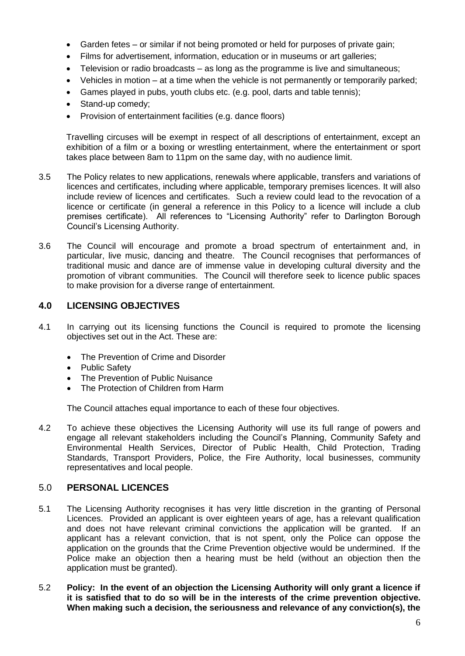- Garden fetes or similar if not being promoted or held for purposes of private gain;
- Films for advertisement, information, education or in museums or art galleries;
- Television or radio broadcasts as long as the programme is live and simultaneous;
- Vehicles in motion at a time when the vehicle is not permanently or temporarily parked;
- Games played in pubs, youth clubs etc. (e.g. pool, darts and table tennis);
- Stand-up comedy;
- Provision of entertainment facilities (e.g. dance floors)

 Travelling circuses will be exempt in respect of all descriptions of entertainment, except an exhibition of a film or a boxing or wrestling entertainment, where the entertainment or sport takes place between 8am to 11pm on the same day, with no audience limit.

- 3.5 The Policy relates to new applications, renewals where applicable, transfers and variations of licences and certificates, including where applicable, temporary premises licences. It will also include review of licences and certificates. Such a review could lead to the revocation of a licence or certificate (in general a reference in this Policy to a licence will include a club premises certificate). All references to "Licensing Authority" refer to Darlington Borough Council's Licensing Authority.
- 3.6 The Council will encourage and promote a broad spectrum of entertainment and, in particular, live music, dancing and theatre. The Council recognises that performances of traditional music and dance are of immense value in developing cultural diversity and the promotion of vibrant communities. The Council will therefore seek to licence public spaces to make provision for a diverse range of entertainment.

#### **4.0 LICENSING OBJECTIVES**

- 4.1 In carrying out its licensing functions the Council is required to promote the licensing objectives set out in the Act. These are:
	- The Prevention of Crime and Disorder
	- Public Safety
	- The Prevention of Public Nuisance
	- The Protection of Children from Harm

The Council attaches equal importance to each of these four objectives.

 4.2 To achieve these objectives the Licensing Authority will use its full range of powers and engage all relevant stakeholders including the Council's Planning, Community Safety and Environmental Health Services, Director of Public Health, Child Protection, Trading Standards, Transport Providers, Police, the Fire Authority, local businesses, community representatives and local people.

#### 5.0 **PERSONAL LICENCES**

- 5.1 The Licensing Authority recognises it has very little discretion in the granting of Personal Licences. Provided an applicant is over eighteen years of age, has a relevant qualification and does not have relevant criminal convictions the application will be granted. If an applicant has a relevant conviction, that is not spent, only the Police can oppose the application on the grounds that the Crime Prevention objective would be undermined. If the Police make an objection then a hearing must be held (without an objection then the application must be granted).
- 5.2 **Policy: In the event of an objection the Licensing Authority will only grant a licence if it is satisfied that to do so will be in the interests of the crime prevention objective. When making such a decision, the seriousness and relevance of any conviction(s), the**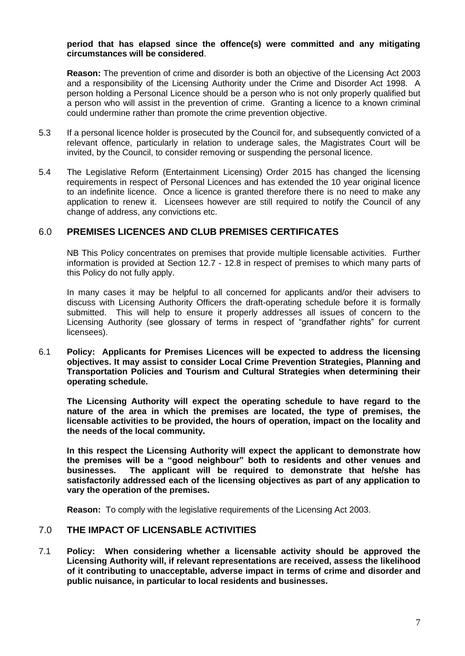#### **period that has elapsed since the offence(s) were committed and any mitigating circumstances will be considered**.

 **Reason:** The prevention of crime and disorder is both an objective of the Licensing Act 2003 and a responsibility of the Licensing Authority under the Crime and Disorder Act 1998. A person holding a Personal Licence should be a person who is not only properly qualified but a person who will assist in the prevention of crime. Granting a licence to a known criminal could undermine rather than promote the crime prevention objective.

- 5.3 If a personal licence holder is prosecuted by the Council for, and subsequently convicted of a relevant offence, particularly in relation to underage sales, the Magistrates Court will be invited, by the Council, to consider removing or suspending the personal licence.
- 5.4 The Legislative Reform (Entertainment Licensing) Order 2015 has changed the licensing requirements in respect of Personal Licences and has extended the 10 year original licence to an indefinite licence. Once a licence is granted therefore there is no need to make any application to renew it. Licensees however are still required to notify the Council of any change of address, any convictions etc.

#### 6.0 **PREMISES LICENCES AND CLUB PREMISES CERTIFICATES**

 NB This Policy concentrates on premises that provide multiple licensable activities. Further information is provided at Section 12.7 - 12.8 in respect of premises to which many parts of this Policy do not fully apply.

 In many cases it may be helpful to all concerned for applicants and/or their advisers to discuss with Licensing Authority Officers the draft-operating schedule before it is formally submitted. This will help to ensure it properly addresses all issues of concern to the Licensing Authority (see glossary of terms in respect of "grandfather rights" for current licensees).

 6.1 **Policy: Applicants for Premises Licences will be expected to address the licensing objectives. It may assist to consider Local Crime Prevention Strategies, Planning and Transportation Policies and Tourism and Cultural Strategies when determining their operating schedule.** 

 **The Licensing Authority will expect the operating schedule to have regard to the nature of the area in which the premises are located, the type of premises, the licensable activities to be provided, the hours of operation, impact on the locality and the needs of the local community.** 

 **In this respect the Licensing Authority will expect the applicant to demonstrate how the premises will be a "good neighbour" both to residents and other venues and** businesses.  **satisfactorily addressed each of the licensing objectives as part of any application to vary the operation of the premises. businesses. The applicant will be required to demonstrate that he/she has** 

**Reason:** To comply with the legislative requirements of the Licensing Act 2003.

#### 7.0 **THE IMPACT OF LICENSABLE ACTIVITIES**

 7.1 **Policy: When considering whether a licensable activity should be approved the Licensing Authority will, if relevant representations are received, assess the likelihood of it contributing to unacceptable, adverse impact in terms of crime and disorder and public nuisance, in particular to local residents and businesses.**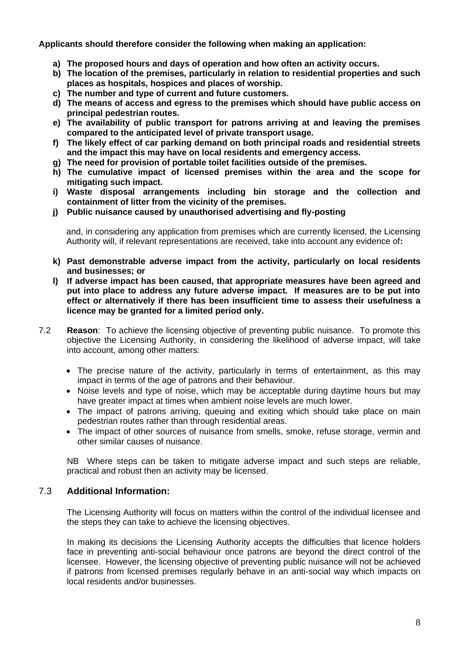**Applicants should therefore consider the following when making an application:** 

- **a) The proposed hours and days of operation and how often an activity occurs.**
- **b) The location of the premises, particularly in relation to residential properties and such places as hospitals, hospices and places of worship.**
- **c) The number and type of current and future customers.**
- **d) The means of access and egress to the premises which should have public access on principal pedestrian routes.**
- **e) The availability of public transport for patrons arriving at and leaving the premises compared to the anticipated level of private transport usage.**
- **f) The likely effect of car parking demand on both principal roads and residential streets and the impact this may have on local residents and emergency access.**
- **g) The need for provision of portable toilet facilities outside of the premises.**
- **h) The cumulative impact of licensed premises within the area and the scope for mitigating such impact.**
- **i) Waste disposal arrangements including bin storage and the collection and containment of litter from the vicinity of the premises.**
- **j) Public nuisance caused by unauthorised advertising and fly-posting**

 and, in considering any application from premises which are currently licensed, the Licensing Authority will, if relevant representations are received, take into account any evidence of**:** 

- **k) Past demonstrable adverse impact from the activity, particularly on local residents and businesses; or**
- **l) If adverse impact has been caused, that appropriate measures have been agreed and put into place to address any future adverse impact. If measures are to be put into effect or alternatively if there has been insufficient time to assess their usefulness a licence may be granted for a limited period only.**
- 7.2 **Reason**: To achieve the licensing objective of preventing public nuisance. To promote this objective the Licensing Authority, in considering the likelihood of adverse impact, will take into account, among other matters:
	- • The precise nature of the activity, particularly in terms of entertainment, as this may impact in terms of the age of patrons and their behaviour.
	- • Noise levels and type of noise, which may be acceptable during daytime hours but may have greater impact at times when ambient noise levels are much lower.
	- • The impact of patrons arriving, queuing and exiting which should take place on main pedestrian routes rather than through residential areas.
	- • The impact of other sources of nuisance from smells, smoke, refuse storage, vermin and other similar causes of nuisance.

 NB Where steps can be taken to mitigate adverse impact and such steps are reliable, practical and robust then an activity may be licensed.

## 7.3 **Additional Information:**

 The Licensing Authority will focus on matters within the control of the individual licensee and the steps they can take to achieve the licensing objectives.

 In making its decisions the Licensing Authority accepts the difficulties that licence holders face in preventing anti-social behaviour once patrons are beyond the direct control of the licensee. However, the licensing objective of preventing public nuisance will not be achieved if patrons from licensed premises regularly behave in an anti-social way which impacts on local residents and/or businesses.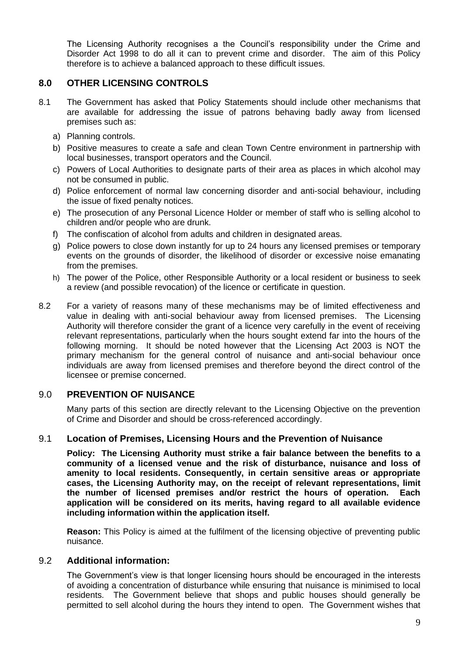The Licensing Authority recognises a the Council's responsibility under the Crime and Disorder Act 1998 to do all it can to prevent crime and disorder. The aim of this Policy therefore is to achieve a balanced approach to these difficult issues.

## **8.0 OTHER LICENSING CONTROLS**

- 8.1 The Government has asked that Policy Statements should include other mechanisms that are available for addressing the issue of patrons behaving badly away from licensed premises such as:
	- a) Planning controls.
	- b) Positive measures to create a safe and clean Town Centre environment in partnership with local businesses, transport operators and the Council.
	- c) Powers of Local Authorities to designate parts of their area as places in which alcohol may not be consumed in public.
	- d) Police enforcement of normal law concerning disorder and anti-social behaviour, including the issue of fixed penalty notices.
	- e) The prosecution of any Personal Licence Holder or member of staff who is selling alcohol to children and/or people who are drunk.
	- f) The confiscation of alcohol from adults and children in designated areas.
	- g) Police powers to close down instantly for up to 24 hours any licensed premises or temporary events on the grounds of disorder, the likelihood of disorder or excessive noise emanating from the premises.
	- h) The power of the Police, other Responsible Authority or a local resident or business to seek a review (and possible revocation) of the licence or certificate in question.
- 8.2 For a variety of reasons many of these mechanisms may be of limited effectiveness and value in dealing with anti-social behaviour away from licensed premises. The Licensing Authority will therefore consider the grant of a licence very carefully in the event of receiving relevant representations, particularly when the hours sought extend far into the hours of the following morning. It should be noted however that the Licensing Act 2003 is NOT the primary mechanism for the general control of nuisance and anti-social behaviour once individuals are away from licensed premises and therefore beyond the direct control of the licensee or premise concerned.

#### 9.0 **PREVENTION OF NUISANCE**

 Many parts of this section are directly relevant to the Licensing Objective on the prevention of Crime and Disorder and should be cross-referenced accordingly.

#### 9.1 **Location of Premises, Licensing Hours and the Prevention of Nuisance**

 **Policy: The Licensing Authority must strike a fair balance between the benefits to a community of a licensed venue and the risk of disturbance, nuisance and loss of amenity to local residents. Consequently, in certain sensitive areas or appropriate cases, the Licensing Authority may, on the receipt of relevant representations, limit the number of licensed premises and/or restrict the hours of operation. Each application will be considered on its merits, having regard to all available evidence including information within the application itself.** 

 **Reason:** This Policy is aimed at the fulfilment of the licensing objective of preventing public nuisance.

#### 9.2 **Additional information:**

 The Government's view is that longer licensing hours should be encouraged in the interests of avoiding a concentration of disturbance while ensuring that nuisance is minimised to local residents. The Government believe that shops and public houses should generally be permitted to sell alcohol during the hours they intend to open. The Government wishes that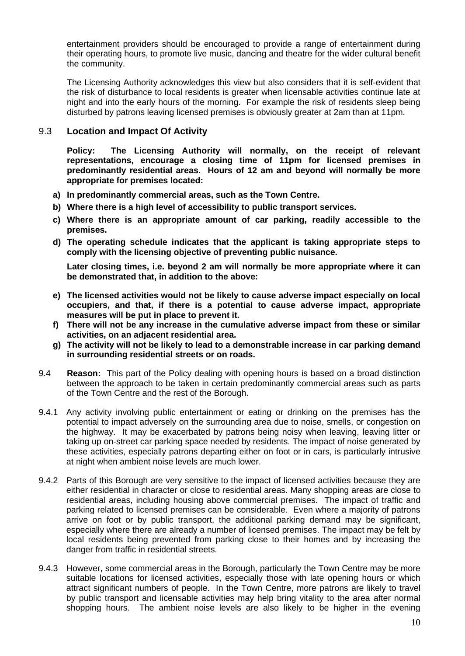entertainment providers should be encouraged to provide a range of entertainment during their operating hours, to promote live music, dancing and theatre for the wider cultural benefit the community.

the community.<br>The Licensing Authority acknowledges this view but also considers that it is self-evident that the risk of disturbance to local residents is greater when licensable activities continue late at night and into the early hours of the morning. For example the risk of residents sleep being disturbed by patrons leaving licensed premises is obviously greater at 2am than at 11pm.

#### 9.3 9.3 **Location and Impact Of Activity**

**Policy: predominantly residential areas. Hours of 12 am and beyond will normally be more appropriate for premises located:**  The Licensing Authority will normally, on the receipt of relevant **representations, encourage a closing time of 11pm for licensed premises in** 

- **a) In predominantly commercial areas, such as the Town Centre.**
- **b) Where there is a high level of accessibility to public transport services.**
- **c) Where there is an appropriate amount of car parking, readily accessible to the premises.**
- **d) The operating schedule indicates that the applicant is taking appropriate steps to comply with the licensing objective of preventing public nuisance.**

Later closing times, i.e. beyond 2 am will normally be more appropriate where it can  **be demonstrated that, in addition to the above:** 

- **e) The licensed activities would not be likely to cause adverse impact especially on local occupiers, and that, if there is a potential to cause adverse impact, appropriate measures will be put in place to prevent it.**
- **f) There will not be any increase in the cumulative adverse impact from these or similar activities, on an adjacent residential area.**
- **g) The activity will not be likely to lead to a demonstrable increase in car parking demand in surrounding residential streets or on roads.**
- 9.4 **Reason:** This part of the Policy dealing with opening hours is based on a broad distinction between the approach to be taken in certain predominantly commercial areas such as parts of the Town Centre and the rest of the Borough.
- 9.4.1 Any activity involving public entertainment or eating or drinking on the premises has the potential to impact adversely on the surrounding area due to noise, smells, or congestion on the highway. It may be exacerbated by patrons being noisy when leaving, leaving litter or taking up on-street car parking space needed by residents. The impact of noise generated by these activities, especially patrons departing either on foot or in cars, is particularly intrusive at night when ambient noise levels are much lower.
- 9.4.2 Parts of this Borough are very sensitive to the impact of licensed activities because they are either residential in character or close to residential areas. Many shopping areas are close to residential areas, including housing above commercial premises. The impact of traffic and parking related to licensed premises can be considerable. Even where a majority of patrons arrive on foot or by public transport, the additional parking demand may be significant, especially where there are already a number of licensed premises. The impact may be felt by local residents being prevented from parking close to their homes and by increasing the danger from traffic in residential streets.
- 9.4.3 However, some commercial areas in the Borough, particularly the Town Centre may be more suitable locations for licensed activities, especially those with late opening hours or which attract significant numbers of people. In the Town Centre, more patrons are likely to travel by public transport and licensable activities may help bring vitality to the area after normal shopping hours. The ambient noise levels are also likely to be higher in the evening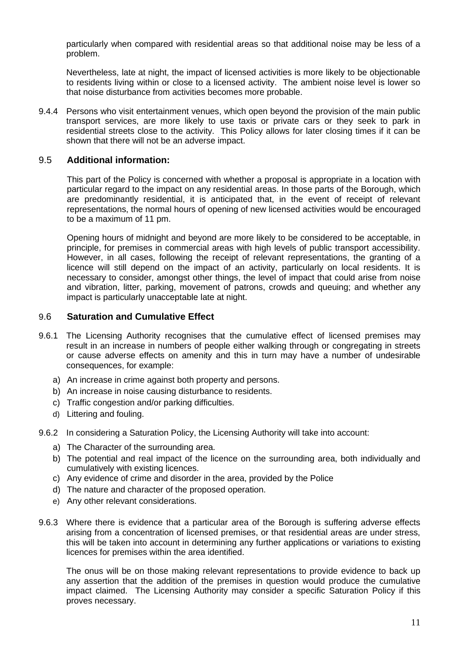particularly when compared with residential areas so that additional noise may be less of a problem.

 Nevertheless, late at night, the impact of licensed activities is more likely to be objectionable to residents living within or close to a licensed activity. The ambient noise level is lower so that noise disturbance from activities becomes more probable.

 9.4.4 Persons who visit entertainment venues, which open beyond the provision of the main public transport services, are more likely to use taxis or private cars or they seek to park in residential streets close to the activity. This Policy allows for later closing times if it can be shown that there will not be an adverse impact.

#### 9.5 **Additional information:**

 This part of the Policy is concerned with whether a proposal is appropriate in a location with particular regard to the impact on any residential areas. In those parts of the Borough, which are predominantly residential, it is anticipated that, in the event of receipt of relevant representations, the normal hours of opening of new licensed activities would be encouraged to be a maximum of 11 pm.

 Opening hours of midnight and beyond are more likely to be considered to be acceptable, in principle, for premises in commercial areas with high levels of public transport accessibility. However, in all cases, following the receipt of relevant representations, the granting of a licence will still depend on the impact of an activity, particularly on local residents. It is necessary to consider, amongst other things, the level of impact that could arise from noise and vibration, litter, parking, movement of patrons, crowds and queuing; and whether any impact is particularly unacceptable late at night.

#### 9.6 **Saturation and Cumulative Effect**

- 9.6.1 The Licensing Authority recognises that the cumulative effect of licensed premises may result in an increase in numbers of people either walking through or congregating in streets or cause adverse effects on amenity and this in turn may have a number of undesirable consequences, for example:
	- a) An increase in crime against both property and persons.
	- b) An increase in noise causing disturbance to residents.
	- c) Traffic congestion and/or parking difficulties.
	- d) Littering and fouling.
- 9.6.2 In considering a Saturation Policy, the Licensing Authority will take into account:
	- a) The Character of the surrounding area.
	- b) The potential and real impact of the licence on the surrounding area, both individually and cumulatively with existing licences.
	- c) Any evidence of crime and disorder in the area, provided by the Police
	- d) The nature and character of the proposed operation.
	- e) Any other relevant considerations.
- 9.6.3 Where there is evidence that a particular area of the Borough is suffering adverse effects arising from a concentration of licensed premises, or that residential areas are under stress, this will be taken into account in determining any further applications or variations to existing licences for premises within the area identified.

 The onus will be on those making relevant representations to provide evidence to back up any assertion that the addition of the premises in question would produce the cumulative impact claimed. The Licensing Authority may consider a specific Saturation Policy if this proves necessary.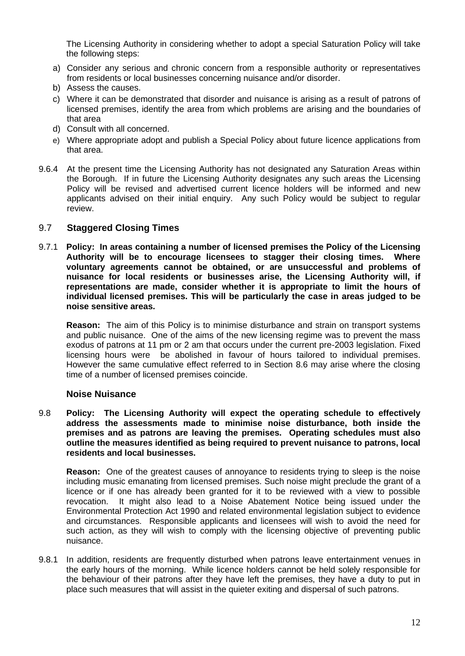The Licensing Authority in considering whether to adopt a special Saturation Policy will take the following steps:

- from residents or local businesses concerning nuisance and/or disorder. a) Consider any serious and chronic concern from a responsible authority or representatives
- b) Assess the causes.
- c) Where it can be demonstrated that disorder and nuisance is arising as a result of patrons of licensed premises, identify the area from which problems are arising and the boundaries of that area
- d) Consult with all concerned.
- e) Where appropriate adopt and publish a Special Policy about future licence applications from that area.
- 9.6.4 At the present time the Licensing Authority has not designated any Saturation Areas within the Borough. If in future the Licensing Authority designates any such areas the Licensing Policy will be revised and advertised current licence holders will be informed and new applicants advised on their initial enquiry. Any such Policy would be subject to regular review.

#### 9.7 **Staggered Closing Times**

 9.7.1 **Policy: In areas containing a number of licensed premises the Policy of the Licensing Authority will be to encourage licensees to stagger their closing times. Where voluntary agreements cannot be obtained, or are unsuccessful and problems of nuisance for local residents or businesses arise, the Licensing Authority will, if representations are made, consider whether it is appropriate to limit the hours of individual licensed premises. This will be particularly the case in areas judged to be noise sensitive areas.** 

 **Reason:** The aim of this Policy is to minimise disturbance and strain on transport systems and public nuisance. One of the aims of the new licensing regime was to prevent the mass exodus of patrons at 11 pm or 2 am that occurs under the current pre-2003 legislation. Fixed licensing hours were be abolished in favour of hours tailored to individual premises. However the same cumulative effect referred to in Section 8.6 may arise where the closing time of a number of licensed premises coincide.

#### **Noise Nuisance**

 9.8 **Policy: The Licensing Authority will expect the operating schedule to effectively address the assessments made to minimise noise disturbance, both inside the premises and as patrons are leaving the premises. Operating schedules must also outline the measures identified as being required to prevent nuisance to patrons, local residents and local businesses.** 

 **Reason:** One of the greatest causes of annoyance to residents trying to sleep is the noise including music emanating from licensed premises. Such noise might preclude the grant of a licence or if one has already been granted for it to be reviewed with a view to possible revocation. Environmental Protection Act 1990 and related environmental legislation subject to evidence and circumstances. Responsible applicants and licensees will wish to avoid the need for such action, as they will wish to comply with the licensing objective of preventing public It might also lead to a Noise Abatement Notice being issued under the nuisance.

 9.8.1 In addition, residents are frequently disturbed when patrons leave entertainment venues in the early hours of the morning. While licence holders cannot be held solely responsible for the behaviour of their patrons after they have left the premises, they have a duty to put in place such measures that will assist in the quieter exiting and dispersal of such patrons.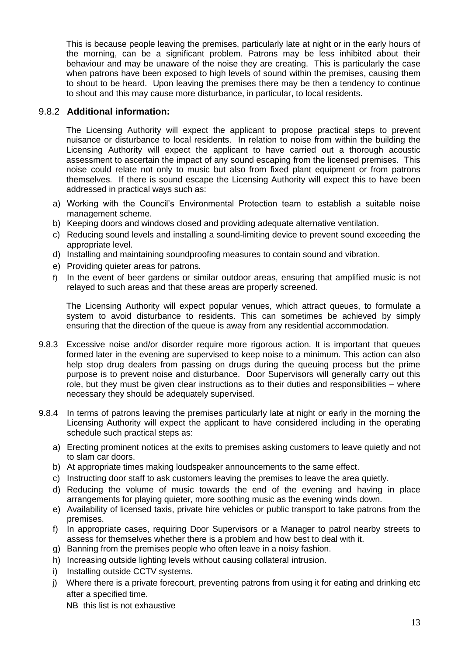This is because people leaving the premises, particularly late at night or in the early hours of the morning, can be a significant problem. Patrons may be less inhibited about their behaviour and may be unaware of the noise they are creating. This is particularly the case when patrons have been exposed to high levels of sound within the premises, causing them to shout to be heard. Upon leaving the premises there may be then a tendency to continue to shout and this may cause more disturbance, in particular, to local residents.

#### 9.8.2 **Additional information:**

 The Licensing Authority will expect the applicant to propose practical steps to prevent nuisance or disturbance to local residents. In relation to noise from within the building the Licensing Authority will expect the applicant to have carried out a thorough acoustic assessment to ascertain the impact of any sound escaping from the licensed premises. This noise could relate not only to music but also from fixed plant equipment or from patrons themselves. If there is sound escape the Licensing Authority will expect this to have been addressed in practical ways such as:

- a) Working with the Council's Environmental Protection team to establish a suitable noise management scheme.
- b) Keeping doors and windows closed and providing adequate alternative ventilation.
- c) Reducing sound levels and installing a sound-limiting device to prevent sound exceeding the appropriate level.
- d) Installing and maintaining soundproofing measures to contain sound and vibration.
- e) Providing quieter areas for patrons.
- f) In the event of beer gardens or similar outdoor areas, ensuring that amplified music is not relayed to such areas and that these areas are properly screened.

 The Licensing Authority will expect popular venues, which attract queues, to formulate a system to avoid disturbance to residents. This can sometimes be achieved by simply ensuring that the direction of the queue is away from any residential accommodation.

- 9.8.3 Excessive noise and/or disorder require more rigorous action. It is important that queues formed later in the evening are supervised to keep noise to a minimum. This action can also help stop drug dealers from passing on drugs during the queuing process but the prime purpose is to prevent noise and disturbance. Door Supervisors will generally carry out this role, but they must be given clear instructions as to their duties and responsibilities – where necessary they should be adequately supervised.
- 9.8.4 In terms of patrons leaving the premises particularly late at night or early in the morning the Licensing Authority will expect the applicant to have considered including in the operating schedule such practical steps as:
	- a) Erecting prominent notices at the exits to premises asking customers to leave quietly and not to slam car doors.
	- b) At appropriate times making loudspeaker announcements to the same effect.
	- c) Instructing door staff to ask customers leaving the premises to leave the area quietly.
	- d) Reducing the volume of music towards the end of the evening and having in place arrangements for playing quieter, more soothing music as the evening winds down.
	- e) Availability of licensed taxis, private hire vehicles or public transport to take patrons from the premises.
	- f) In appropriate cases, requiring Door Supervisors or a Manager to patrol nearby streets to assess for themselves whether there is a problem and how best to deal with it.
	- g) Banning from the premises people who often leave in a noisy fashion.
	- h) Increasing outside lighting levels without causing collateral intrusion.
	- i) Installing outside CCTV systems.
	- j) Where there is a private forecourt, preventing patrons from using it for eating and drinking etc after a specified time.

NB this list is not exhaustive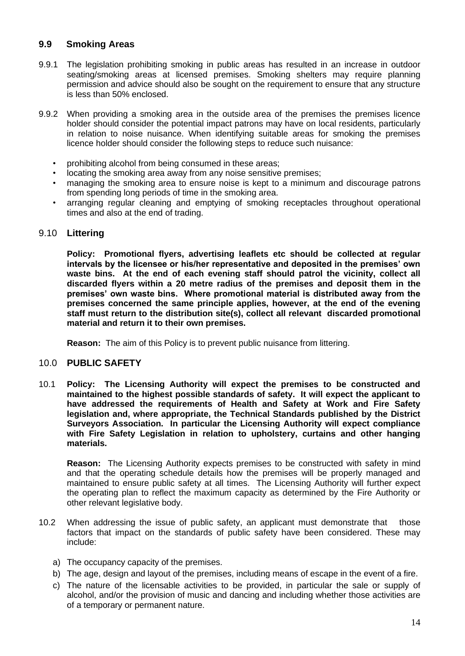## **9.9 Smoking Areas**

- 9.9.1 The legislation prohibiting smoking in public areas has resulted in an increase in outdoor seating/smoking areas at licensed premises. Smoking shelters may require planning permission and advice should also be sought on the requirement to ensure that any structure is less than 50% enclosed.
- 9.9.2 When providing a smoking area in the outside area of the premises the premises licence holder should consider the potential impact patrons may have on local residents, particularly in relation to noise nuisance. When identifying suitable areas for smoking the premises licence holder should consider the following steps to reduce such nuisance:
	- prohibiting alcohol from being consumed in these areas;
	- locating the smoking area away from any noise sensitive premises;
	- • managing the smoking area to ensure noise is kept to a minimum and discourage patrons from spending long periods of time in the smoking area.
	- • arranging regular cleaning and emptying of smoking receptacles throughout operational times and also at the end of trading.

#### 9.10 **Littering**

 **Policy: Promotional flyers, advertising leaflets etc should be collected at regular intervals by the licensee or his/her representative and deposited in the premises' own waste bins. At the end of each evening staff should patrol the vicinity, collect all discarded flyers within a 20 metre radius of the premises and deposit them in the premises' own waste bins. Where promotional material is distributed away from the premises concerned the same principle applies, however, at the end of the evening staff must return to the distribution site(s), collect all relevant discarded promotional material and return it to their own premises.** 

**Reason:** The aim of this Policy is to prevent public nuisance from littering.

#### 10.0 **PUBLIC SAFETY**

 10.1 **Policy: The Licensing Authority will expect the premises to be constructed and maintained to the highest possible standards of safety. It will expect the applicant to have addressed the requirements of Health and Safety at Work and Fire Safety legislation and, where appropriate, the Technical Standards published by the District Surveyors Association. In particular the Licensing Authority will expect compliance with Fire Safety Legislation in relation to upholstery, curtains and other hanging materials.** 

 **Reason:** The Licensing Authority expects premises to be constructed with safety in mind and that the operating schedule details how the premises will be properly managed and maintained to ensure public safety at all times. The Licensing Authority will further expect the operating plan to reflect the maximum capacity as determined by the Fire Authority or other relevant legislative body.

- 10.2 When addressing the issue of public safety, an applicant must demonstrate that those factors that impact on the standards of public safety have been considered. These may include:
	- a) The occupancy capacity of the premises.
	- b) The age, design and layout of the premises, including means of escape in the event of a fire.
	- c) The nature of the licensable activities to be provided, in particular the sale or supply of alcohol, and/or the provision of music and dancing and including whether those activities are of a temporary or permanent nature.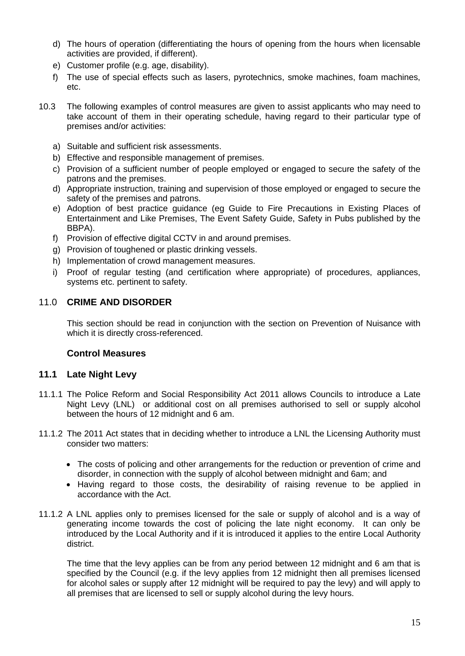- d) The hours of operation (differentiating the hours of opening from the hours when licensable activities are provided, if different).
- e) Customer profile (e.g. age, disability).
- f) The use of special effects such as lasers, pyrotechnics, smoke machines, foam machines, etc.
- 10.3 The following examples of control measures are given to assist applicants who may need to take account of them in their operating schedule, having regard to their particular type of premises and/or activities:
	- a) Suitable and sufficient risk assessments.
	- b) Effective and responsible management of premises.
	- c) Provision of a sufficient number of people employed or engaged to secure the safety of the patrons and the premises.
	- d) Appropriate instruction, training and supervision of those employed or engaged to secure the safety of the premises and patrons.
	- e) Adoption of best practice guidance (eg Guide to Fire Precautions in Existing Places of Entertainment and Like Premises, The Event Safety Guide, Safety in Pubs published by the BBPA).
	- f) Provision of effective digital CCTV in and around premises.
	- g) Provision of toughened or plastic drinking vessels.
	- h) Implementation of crowd management measures.
	- i) Proof of regular testing (and certification where appropriate) of procedures, appliances, systems etc. pertinent to safety.

#### 11.0 **CRIME AND DISORDER**

 This section should be read in conjunction with the section on Prevention of Nuisance with which it is directly cross-referenced.

#### **Control Measures**

#### **11.1 Late Night Levy**

- 11.1.1 The Police Reform and Social Responsibility Act 2011 allows Councils to introduce a Late Night Levy (LNL) or additional cost on all premises authorised to sell or supply alcohol between the hours of 12 midnight and 6 am.
- 11.1.2 The 2011 Act states that in deciding whether to introduce a LNL the Licensing Authority must consider two matters:
	- • The costs of policing and other arrangements for the reduction or prevention of crime and disorder, in connection with the supply of alcohol between midnight and 6am; and
	- • Having regard to those costs, the desirability of raising revenue to be applied in accordance with the Act.
- 11.1.2 A LNL applies only to premises licensed for the sale or supply of alcohol and is a way of generating income towards the cost of policing the late night economy. It can only be introduced by the Local Authority and if it is introduced it applies to the entire Local Authority district.

 The time that the levy applies can be from any period between 12 midnight and 6 am that is specified by the Council (e.g. if the levy applies from 12 midnight then all premises licensed for alcohol sales or supply after 12 midnight will be required to pay the levy) and will apply to all premises that are licensed to sell or supply alcohol during the levy hours.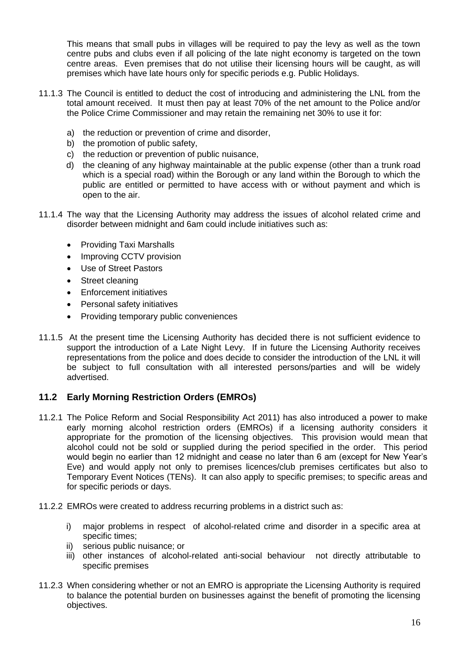This means that small pubs in villages will be required to pay the levy as well as the town centre pubs and clubs even if all policing of the late night economy is targeted on the town centre areas. Even premises that do not utilise their licensing hours will be caught, as will premises which have late hours only for specific periods e.g. Public Holidays.

- 11.1.3 The Council is entitled to deduct the cost of introducing and administering the LNL from the total amount received. It must then pay at least 70% of the net amount to the Police and/or the Police Crime Commissioner and may retain the remaining net 30% to use it for:
	- a) the reduction or prevention of crime and disorder,
	- b) the promotion of public safety,
	- c) the reduction or prevention of public nuisance,
	- d) the cleaning of any highway maintainable at the public expense (other than a trunk road which is a special road) within the Borough or any land within the Borough to which the public are entitled or permitted to have access with or without payment and which is open to the air.
- 11.1.4 The way that the Licensing Authority may address the issues of alcohol related crime and disorder between midnight and 6am could include initiatives such as:
	- Providing Taxi Marshalls
	- Improving CCTV provision
	- Use of Street Pastors
	- Street cleaning
	- Enforcement initiatives
	- Personal safety initiatives
	- Providing temporary public conveniences
- 11.1.5 At the present time the Licensing Authority has decided there is not sufficient evidence to support the introduction of a Late Night Levy. If in future the Licensing Authority receives representations from the police and does decide to consider the introduction of the LNL it will be subject to full consultation with all interested persons/parties and will be widely advertised.

#### **11.2 Early Morning Restriction Orders (EMROs)**

- 11.2.1 The Police Reform and Social Responsibility Act 2011) has also introduced a power to make early morning alcohol restriction orders (EMROs) if a licensing authority considers it appropriate for the promotion of the licensing objectives. This provision would mean that alcohol could not be sold or supplied during the period specified in the order. This period would begin no earlier than 12 midnight and cease no later than 6 am (except for New Year's Eve) and would apply not only to premises licences/club premises certificates but also to Temporary Event Notices (TENs). It can also apply to specific premises; to specific areas and for specific periods or days.
- 11.2.2 EMROs were created to address recurring problems in a district such as:
	- i) major problems in respect of alcohol-related crime and disorder in a specific area at specific times;
	- ii) serious public nuisance; or
	- iii) other instances of alcohol-related anti-social behaviour not directly attributable to specific premises
- 11.2.3 When considering whether or not an EMRO is appropriate the Licensing Authority is required to balance the potential burden on businesses against the benefit of promoting the licensing objectives.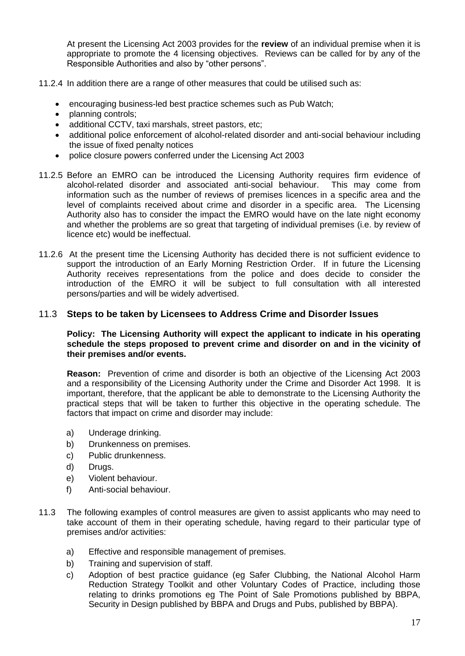At present the Licensing Act 2003 provides for the **review** of an individual premise when it is appropriate to promote the 4 licensing objectives. Reviews can be called for by any of the Responsible Authorities and also by "other persons".

11.2.4 In addition there are a range of other measures that could be utilised such as:

- encouraging business-led best practice schemes such as Pub Watch;
- planning controls;
- additional CCTV, taxi marshals, street pastors, etc;
- • additional police enforcement of alcohol-related disorder and anti-social behaviour including the issue of fixed penalty notices
- police closure powers conferred under the Licensing Act 2003
- 11.2.5 Before an EMRO can be introduced the Licensing Authority requires firm evidence of alcohol-related disorder and associated anti-social behaviour. This may come from information such as the number of reviews of premises licences in a specific area and the level of complaints received about crime and disorder in a specific area. The Licensing Authority also has to consider the impact the EMRO would have on the late night economy and whether the problems are so great that targeting of individual premises (i.e. by review of licence etc) would be ineffectual.
- 11.2.6 At the present time the Licensing Authority has decided there is not sufficient evidence to support the introduction of an Early Morning Restriction Order. If in future the Licensing Authority receives representations from the police and does decide to consider the introduction of the EMRO it will be subject to full consultation with all interested persons/parties and will be widely advertised.

#### 11.3 **Steps to be taken by Licensees to Address Crime and Disorder Issues**

#### **Policy: The Licensing Authority will expect the applicant to indicate in his operating schedule the steps proposed to prevent crime and disorder on and in the vicinity of their premises and/or events.**

 **Reason:** Prevention of crime and disorder is both an objective of the Licensing Act 2003 and a responsibility of the Licensing Authority under the Crime and Disorder Act 1998. It is important, therefore, that the applicant be able to demonstrate to the Licensing Authority the practical steps that will be taken to further this objective in the operating schedule. The factors that impact on crime and disorder may include:

- a) Underage drinking.
- b) Drunkenness on premises.
- c) Public drunkenness.
- d) Drugs.
- e) Violent behaviour.
- f) Anti-social behaviour.
- 11.3 The following examples of control measures are given to assist applicants who may need to take account of them in their operating schedule, having regard to their particular type of premises and/or activities:
	- a) Effective and responsible management of premises.
	- b) Training and supervision of staff.
	- c) Adoption of best practice guidance (eg Safer Clubbing, the National Alcohol Harm Reduction Strategy Toolkit and other Voluntary Codes of Practice, including those relating to drinks promotions eg The Point of Sale Promotions published by BBPA, Security in Design published by BBPA and Drugs and Pubs, published by BBPA).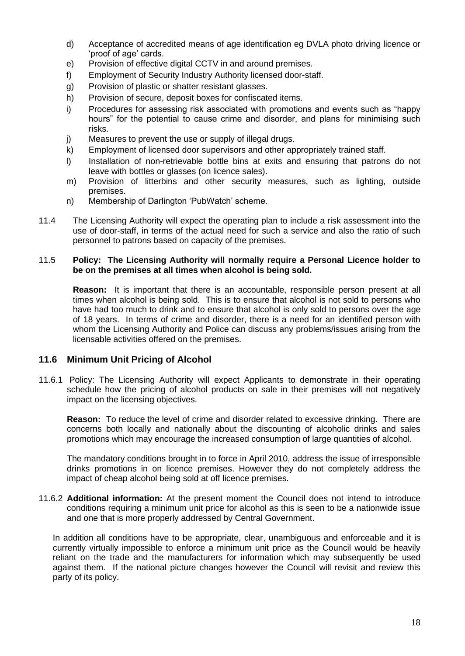- d) Acceptance of accredited means of age identification eg DVLA photo driving licence or 'proof of age' cards.
- e) Provision of effective digital CCTV in and around premises.
- f) Employment of Security Industry Authority licensed door-staff.
- g) Provision of plastic or shatter resistant glasses.
- h) Provision of secure, deposit boxes for confiscated items.
- i) Procedures for assessing risk associated with promotions and events such as "happy hours" for the potential to cause crime and disorder, and plans for minimising such risks.
- j) Measures to prevent the use or supply of illegal drugs.
- k) Employment of licensed door supervisors and other appropriately trained staff.
- I) Installation of non-retrievable bottle bins at exits and ensuring that patrons do not leave with bottles or glasses (on licence sales).
- m) Provision of litterbins and other security measures, such as lighting, outside premises.
- n) Membership of Darlington 'PubWatch' scheme.
- 11.4 The Licensing Authority will expect the operating plan to include a risk assessment into the use of door-staff, in terms of the actual need for such a service and also the ratio of such personnel to patrons based on capacity of the premises.

#### 11.5 **Policy: The Licensing Authority will normally require a Personal Licence holder to be on the premises at all times when alcohol is being sold.**

 **Reason:** It is important that there is an accountable, responsible person present at all times when alcohol is being sold. This is to ensure that alcohol is not sold to persons who have had too much to drink and to ensure that alcohol is only sold to persons over the age of 18 years. In terms of crime and disorder, there is a need for an identified person with whom the Licensing Authority and Police can discuss any problems/issues arising from the licensable activities offered on the premises.

#### **11.6 Minimum Unit Pricing of Alcohol**

 11.6.1 Policy: The Licensing Authority will expect Applicants to demonstrate in their operating schedule how the pricing of alcohol products on sale in their premises will not negatively impact on the licensing objectives.

 **Reason:** To reduce the level of crime and disorder related to excessive drinking. There are concerns both locally and nationally about the discounting of alcoholic drinks and sales promotions which may encourage the increased consumption of large quantities of alcohol.

 The mandatory conditions brought in to force in April 2010, address the issue of irresponsible drinks promotions in on licence premises. However they do not completely address the impact of cheap alcohol being sold at off licence premises.

 11.6.2 **Additional information:** At the present moment the Council does not intend to introduce conditions requiring a minimum unit price for alcohol as this is seen to be a nationwide issue and one that is more properly addressed by Central Government.

 In addition all conditions have to be appropriate, clear, unambiguous and enforceable and it is currently virtually impossible to enforce a minimum unit price as the Council would be heavily reliant on the trade and the manufacturers for information which may subsequently be used against them. If the national picture changes however the Council will revisit and review this party of its policy.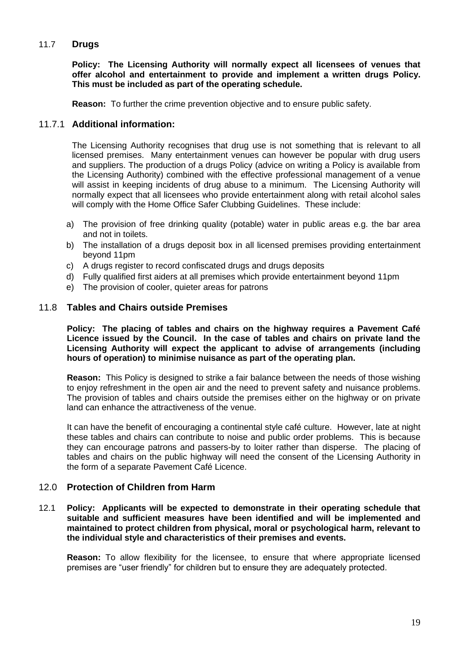#### 11.7 **Drugs**

 **Policy: The Licensing Authority will normally expect all licensees of venues that offer alcohol and entertainment to provide and implement a written drugs Policy. This must be included as part of the operating schedule.** 

**Reason:** To further the crime prevention objective and to ensure public safety.

#### 11.7.1 **Additional information:**

 The Licensing Authority recognises that drug use is not something that is relevant to all licensed premises. Many entertainment venues can however be popular with drug users and suppliers. The production of a drugs Policy (advice on writing a Policy is available from the Licensing Authority) combined with the effective professional management of a venue will assist in keeping incidents of drug abuse to a minimum. The Licensing Authority will normally expect that all licensees who provide entertainment along with retail alcohol sales will comply with the Home Office Safer Clubbing Guidelines. These include:

- a) The provision of free drinking quality (potable) water in public areas e.g. the bar area and not in toilets.
- b) The installation of a drugs deposit box in all licensed premises providing entertainment beyond 11pm
- c) A drugs register to record confiscated drugs and drugs deposits
- d) Fully qualified first aiders at all premises which provide entertainment beyond 11pm
- e) The provision of cooler, quieter areas for patrons

#### 11.8 **Tables and Chairs outside Premises**

 **Policy: The placing of tables and chairs on the highway requires a Pavement Café Licence issued by the Council. In the case of tables and chairs on private land the Licensing Authority will expect the applicant to advise of arrangements (including hours of operation) to minimise nuisance as part of the operating plan.** 

 **Reason:** This Policy is designed to strike a fair balance between the needs of those wishing to enjoy refreshment in the open air and the need to prevent safety and nuisance problems. The provision of tables and chairs outside the premises either on the highway or on private land can enhance the attractiveness of the venue.

 It can have the benefit of encouraging a continental style café culture. However, late at night these tables and chairs can contribute to noise and public order problems. This is because they can encourage patrons and passers-by to loiter rather than disperse. The placing of tables and chairs on the public highway will need the consent of the Licensing Authority in the form of a separate Pavement Café Licence.

#### 12.0 **Protection of Children from Harm**

 12.1 **Policy: Applicants will be expected to demonstrate in their operating schedule that suitable and sufficient measures have been identified and will be implemented and maintained to protect children from physical, moral or psychological harm, relevant to the individual style and characteristics of their premises and events.** 

 **Reason:** To allow flexibility for the licensee, to ensure that where appropriate licensed premises are "user friendly" for children but to ensure they are adequately protected.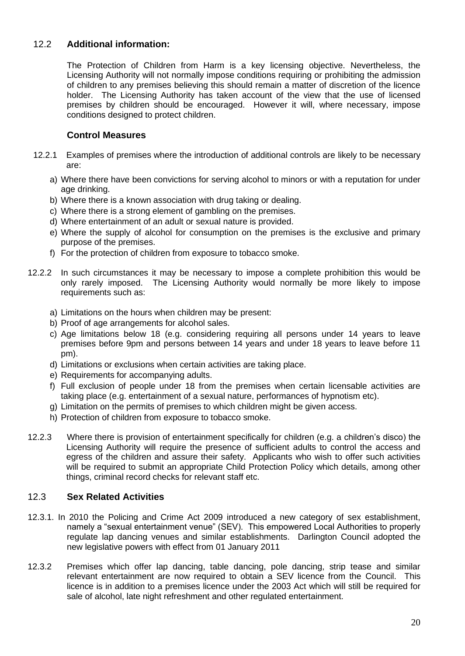## 12.2 **Additional information:**

 The Protection of Children from Harm is a key licensing objective. Nevertheless, the Licensing Authority will not normally impose conditions requiring or prohibiting the admission of children to any premises believing this should remain a matter of discretion of the licence holder. The Licensing Authority has taken account of the view that the use of licensed premises by children should be encouraged. However it will, where necessary, impose conditions designed to protect children.

#### **Control Measures**

- 12.2.1 Examples of premises where the introduction of additional controls are likely to be necessary are:
	- a) Where there have been convictions for serving alcohol to minors or with a reputation for under age drinking.
	- b) Where there is a known association with drug taking or dealing.
	- c) Where there is a strong element of gambling on the premises.
	- d) Where entertainment of an adult or sexual nature is provided.
	- e) Where the supply of alcohol for consumption on the premises is the exclusive and primary purpose of the premises.
	- f) For the protection of children from exposure to tobacco smoke.
- 12.2.2 In such circumstances it may be necessary to impose a complete prohibition this would be only rarely imposed. The Licensing Authority would normally be more likely to impose requirements such as:
	- a) Limitations on the hours when children may be present:
	- b) Proof of age arrangements for alcohol sales.
	- c) Age limitations below 18 (e.g. considering requiring all persons under 14 years to leave premises before 9pm and persons between 14 years and under 18 years to leave before 11 pm).
	- d) Limitations or exclusions when certain activities are taking place.
	- e) Requirements for accompanying adults.
	- f) Full exclusion of people under 18 from the premises when certain licensable activities are taking place (e.g. entertainment of a sexual nature, performances of hypnotism etc).
	- g) Limitation on the permits of premises to which children might be given access.
	- h) Protection of children from exposure to tobacco smoke.
- Licensing Authority will require the presence of sufficient adults to control the access and egress of the children and assure their safety. Applicants who wish to offer such activities will be required to submit an appropriate Child Protection Policy which details, among other things, criminal record checks for relevant staff etc. 12.2.3 Where there is provision of entertainment specifically for children (e.g. a children's disco) the

#### 12.3 **Sex Related Activities**

- 12.3.1. In 2010 the Policing and Crime Act 2009 introduced a new category of sex establishment, namely a "sexual entertainment venue" (SEV). This empowered Local Authorities to properly regulate lap dancing venues and similar establishments. Darlington Council adopted the new legislative powers with effect from 01 January 2011
- 12.3.2 Premises which offer lap dancing, table dancing, pole dancing, strip tease and similar relevant entertainment are now required to obtain a SEV licence from the Council. This licence is in addition to a premises licence under the 2003 Act which will still be required for sale of alcohol, late night refreshment and other regulated entertainment.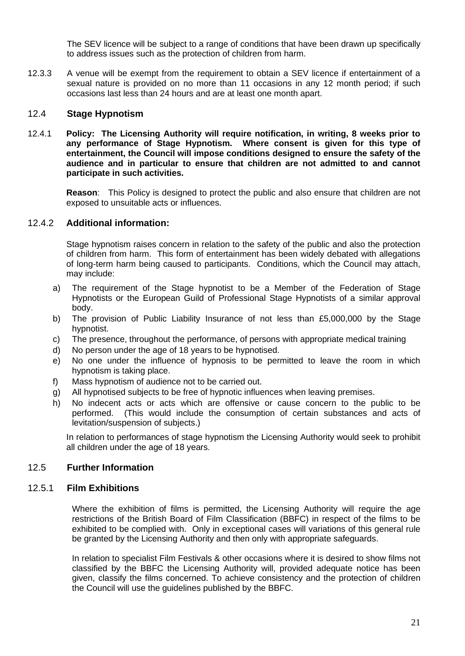The SEV licence will be subject to a range of conditions that have been drawn up specifically to address issues such as the protection of children from harm.

 12.3.3 A venue will be exempt from the requirement to obtain a SEV licence if entertainment of a sexual nature is provided on no more than 11 occasions in any 12 month period; if such occasions last less than 24 hours and are at least one month apart.

#### 12.4 **Stage Hypnotism**

 12.4.1 **Policy: The Licensing Authority will require notification, in writing, 8 weeks prior to any performance of Stage Hypnotism. Where consent is given for this type of entertainment, the Council will impose conditions designed to ensure the safety of the audience and in particular to ensure that children are not admitted to and cannot participate in such activities.** 

 **Reason**: This Policy is designed to protect the public and also ensure that children are not exposed to unsuitable acts or influences.

#### 12.4.2 **Additional information:**

 Stage hypnotism raises concern in relation to the safety of the public and also the protection of children from harm. This form of entertainment has been widely debated with allegations of long-term harm being caused to participants. Conditions, which the Council may attach, may include:

- a) The requirement of the Stage hypnotist to be a Member of the Federation of Stage Hypnotists or the European Guild of Professional Stage Hypnotists of a similar approval body.
- b) The provision of Public Liability Insurance of not less than £5,000,000 by the Stage hypnotist.
- c) The presence, throughout the performance, of persons with appropriate medical training
- d) No person under the age of 18 years to be hypnotised.
- e) No one under the influence of hypnosis to be permitted to leave the room in which hypnotism is taking place.
- f) Mass hypnotism of audience not to be carried out.
- g) All hypnotised subjects to be free of hypnotic influences when leaving premises.
- h) No indecent acts or acts which are offensive or cause concern to the public to be performed. (This would include the consumption of certain substances and acts of levitation/suspension of subjects.)

 In relation to performances of stage hypnotism the Licensing Authority would seek to prohibit all children under the age of 18 years.

#### 12.5 **Further Information**

#### 12.5.1 **Film Exhibitions**

 Where the exhibition of films is permitted, the Licensing Authority will require the age restrictions of the British Board of Film Classification (BBFC) in respect of the films to be exhibited to be complied with. Only in exceptional cases will variations of this general rule be granted by the Licensing Authority and then only with appropriate safeguards.

 In relation to specialist Film Festivals & other occasions where it is desired to show films not classified by the BBFC the Licensing Authority will, provided adequate notice has been given, classify the films concerned. To achieve consistency and the protection of children the Council will use the guidelines published by the BBFC.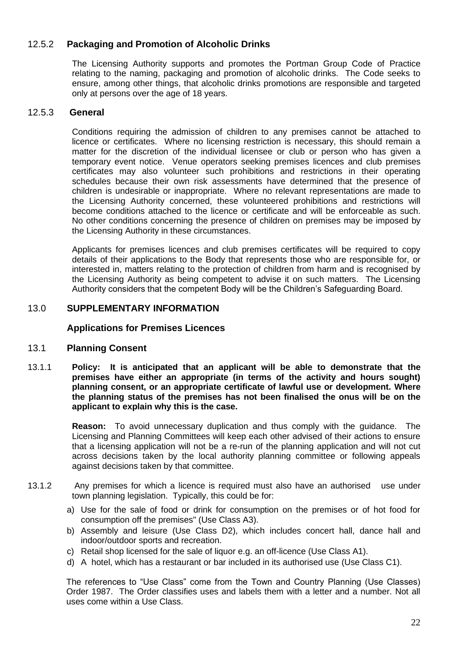#### 12.5.2 **Packaging and Promotion of Alcoholic Drinks**

 The Licensing Authority supports and promotes the Portman Group Code of Practice relating to the naming, packaging and promotion of alcoholic drinks. The Code seeks to ensure, among other things, that alcoholic drinks promotions are responsible and targeted only at persons over the age of 18 years.

#### 12.5.3 **General**

 Conditions requiring the admission of children to any premises cannot be attached to licence or certificates. Where no licensing restriction is necessary, this should remain a matter for the discretion of the individual licensee or club or person who has given a temporary event notice. Venue operators seeking premises licences and club premises certificates may also volunteer such prohibitions and restrictions in their operating schedules because their own risk assessments have determined that the presence of children is undesirable or inappropriate. Where no relevant representations are made to the Licensing Authority concerned, these volunteered prohibitions and restrictions will become conditions attached to the licence or certificate and will be enforceable as such. No other conditions concerning the presence of children on premises may be imposed by the Licensing Authority in these circumstances.

 Applicants for premises licences and club premises certificates will be required to copy details of their applications to the Body that represents those who are responsible for, or interested in, matters relating to the protection of children from harm and is recognised by the Licensing Authority as being competent to advise it on such matters. The Licensing Authority considers that the competent Body will be the Children's Safeguarding Board.

#### 13.0 **SUPPLEMENTARY INFORMATION**

#### **Applications for Premises Licences**

#### 13.1 **Planning Consent**

 13.1.1 **Policy: It is anticipated that an applicant will be able to demonstrate that the premises have either an appropriate (in terms of the activity and hours sought) planning consent, or an appropriate certificate of lawful use or development. Where the planning status of the premises has not been finalised the onus will be on the applicant to explain why this is the case.** 

> **Reason:** To avoid unnecessary duplication and thus comply with the guidance. The Licensing and Planning Committees will keep each other advised of their actions to ensure that a licensing application will not be a re-run of the planning application and will not cut across decisions taken by the local authority planning committee or following appeals against decisions taken by that committee.

- 13.1.2 Any premises for which a licence is required must also have an authorised use under town planning legislation. Typically, this could be for:
	- a) Use for the sale of food or drink for consumption on the premises or of hot food for consumption off the premises" (Use Class A3).
	- b) Assembly and leisure (Use Class D2), which includes concert hall, dance hall and indoor/outdoor sports and recreation.
	- c) Retail shop licensed for the sale of liquor e.g. an off-licence (Use Class A1).
	- d) A hotel, which has a restaurant or bar included in its authorised use (Use Class C1).

 Order 1987. The Order classifies uses and labels them with a letter and a number. Not all The references to "Use Class" come from the Town and Country Planning (Use Classes) uses come within a Use Class.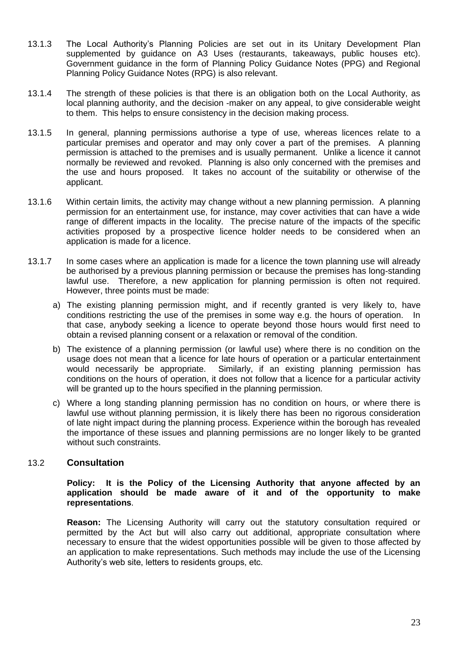- 13.1.3 The Local Authority's Planning Policies are set out in its Unitary Development Plan supplemented by guidance on A3 Uses (restaurants, takeaways, public houses etc). Government guidance in the form of Planning Policy Guidance Notes (PPG) and Regional Planning Policy Guidance Notes (RPG) is also relevant.
- 13.1.4 The strength of these policies is that there is an obligation both on the Local Authority, as local planning authority, and the decision -maker on any appeal, to give considerable weight to them. This helps to ensure consistency in the decision making process.
- 13.1.5 In general, planning permissions authorise a type of use, whereas licences relate to a particular premises and operator and may only cover a part of the premises. A planning permission is attached to the premises and is usually permanent. Unlike a licence it cannot normally be reviewed and revoked. Planning is also only concerned with the premises and the use and hours proposed. It takes no account of the suitability or otherwise of the applicant.
- 13.1.6 Within certain limits, the activity may change without a new planning permission. A planning permission for an entertainment use, for instance, may cover activities that can have a wide range of different impacts in the locality. The precise nature of the impacts of the specific activities proposed by a prospective licence holder needs to be considered when an application is made for a licence.
- 13.1.7 In some cases where an application is made for a licence the town planning use will already be authorised by a previous planning permission or because the premises has long-standing lawful use. Therefore, a new application for planning permission is often not required. However, three points must be made:
	- a) The existing planning permission might, and if recently granted is very likely to, have conditions restricting the use of the premises in some way e.g. the hours of operation. In that case, anybody seeking a licence to operate beyond those hours would first need to obtain a revised planning consent or a relaxation or removal of the condition.
	- b) The existence of a planning permission (or lawful use) where there is no condition on the usage does not mean that a licence for late hours of operation or a particular entertainment would necessarily be appropriate. conditions on the hours of operation, it does not follow that a licence for a particular activity will be granted up to the hours specified in the planning permission. Similarly, if an existing planning permission has
	- c) Where a long standing planning permission has no condition on hours, or where there is lawful use without planning permission, it is likely there has been no rigorous consideration of late night impact during the planning process. Experience within the borough has revealed the importance of these issues and planning permissions are no longer likely to be granted without such constraints.

#### 13.2 **Consultation**

#### Policy: It is the Policy of the Licensing Authority that anyone affected by an  **application should be made aware of it and of the opportunity to make representations**.

 **Reason:** The Licensing Authority will carry out the statutory consultation required or permitted by the Act but will also carry out additional, appropriate consultation where necessary to ensure that the widest opportunities possible will be given to those affected by an application to make representations. Such methods may include the use of the Licensing Authority's web site, letters to residents groups, etc.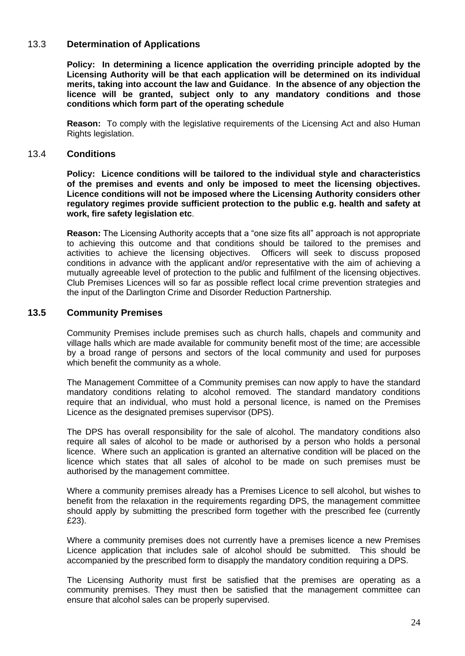#### 13.3 **Determination of Applications**

 **Policy: In determining a licence application the overriding principle adopted by the Licensing Authority will be that each application will be determined on its individual merits, taking into account the law and Guidance**. **In the absence of any objection the licence will be granted, subject only to any mandatory conditions and those conditions which form part of the operating schedule** 

 **Reason:** To comply with the legislative requirements of the Licensing Act and also Human Rights legislation.

#### 13.4 **Conditions**

 **Policy: Licence conditions will be tailored to the individual style and characteristics of the premises and events and only be imposed to meet the licensing objectives. Licence conditions will not be imposed where the Licensing Authority considers other regulatory regimes provide sufficient protection to the public e.g. health and safety at work, fire safety legislation etc**.

 **Reason:** The Licensing Authority accepts that a "one size fits all" approach is not appropriate to achieving this outcome and that conditions should be tailored to the premises and activities to achieve the licensing objectives. Officers will seek to discuss proposed conditions in advance with the applicant and/or representative with the aim of achieving a mutually agreeable level of protection to the public and fulfilment of the licensing objectives. Club Premises Licences will so far as possible reflect local crime prevention strategies and the input of the Darlington Crime and Disorder Reduction Partnership.

#### **13.5 Community Premises**

 Community Premises include premises such as church halls, chapels and community and village halls which are made available for community benefit most of the time; are accessible by a broad range of persons and sectors of the local community and used for purposes which benefit the community as a whole.

 The Management Committee of a Community premises can now apply to have the standard mandatory conditions relating to alcohol removed. The standard mandatory conditions require that an individual, who must hold a personal licence, is named on the Premises Licence as the designated premises supervisor (DPS).

 The DPS has overall responsibility for the sale of alcohol. The mandatory conditions also require all sales of alcohol to be made or authorised by a person who holds a personal licence. Where such an application is granted an alternative condition will be placed on the licence which states that all sales of alcohol to be made on such premises must be authorised by the management committee.

 Where a community premises already has a Premises Licence to sell alcohol, but wishes to benefit from the relaxation in the requirements regarding DPS, the management committee should apply by submitting the prescribed form together with the prescribed fee (currently £23).

£23).<br>Where a community premises does not currently have a premises licence a new Premises Licence application that includes sale of alcohol should be submitted. This should be accompanied by the prescribed form to disapply the mandatory condition requiring a DPS.

 The Licensing Authority must first be satisfied that the premises are operating as a community premises. They must then be satisfied that the management committee can ensure that alcohol sales can be properly supervised.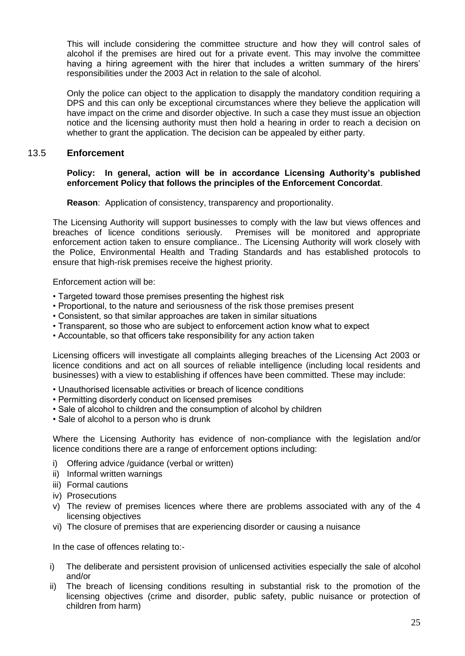This will include considering the committee structure and how they will control sales of alcohol if the premises are hired out for a private event. This may involve the committee having a hiring agreement with the hirer that includes a written summary of the hirers' responsibilities under the 2003 Act in relation to the sale of alcohol.

 Only the police can object to the application to disapply the mandatory condition requiring a DPS and this can only be exceptional circumstances where they believe the application will have impact on the crime and disorder objective. In such a case they must issue an objection notice and the licensing authority must then hold a hearing in order to reach a decision on whether to grant the application. The decision can be appealed by either party.

#### 13.5 **Enforcement**

#### **Policy: In general, action will be in accordance Licensing Authority's published enforcement Policy that follows the principles of the Enforcement Concordat**.

**Reason**: Application of consistency, transparency and proportionality.

 The Licensing Authority will support businesses to comply with the law but views offences and breaches of licence conditions seriously. enforcement action taken to ensure compliance.. The Licensing Authority will work closely with the Police, Environmental Health and Trading Standards and has established protocols to ensure that high-risk premises receive the highest priority. Premises will be monitored and appropriate

Enforcement action will be:

- Targeted toward those premises presenting the highest risk
- Proportional, to the nature and seriousness of the risk those premises present
- Consistent, so that similar approaches are taken in similar situations
- Transparent, so those who are subject to enforcement action know what to expect
- Accountable, so that officers take responsibility for any action taken

 Licensing officers will investigate all complaints alleging breaches of the Licensing Act 2003 or licence conditions and act on all sources of reliable intelligence (including local residents and businesses) with a view to establishing if offences have been committed. These may include:

- Unauthorised licensable activities or breach of licence conditions
- Permitting disorderly conduct on licensed premises
- Sale of alcohol to children and the consumption of alcohol by children
- Sale of alcohol to a person who is drunk

 Where the Licensing Authority has evidence of non-compliance with the legislation and/or licence conditions there are a range of enforcement options including:

- i) Offering advice /guidance (verbal or written)
- ii) Informal written warnings
- iii) Formal cautions
- iv) Prosecutions
- v) The review of premises licences where there are problems associated with any of the 4 licensing objectives
- vi) The closure of premises that are experiencing disorder or causing a nuisance

In the case of offences relating to:-

- i) The deliberate and persistent provision of unlicensed activities especially the sale of alcohol and/or
- ii) The breach of licensing conditions resulting in substantial risk to the promotion of the licensing objectives (crime and disorder, public safety, public nuisance or protection of children from harm)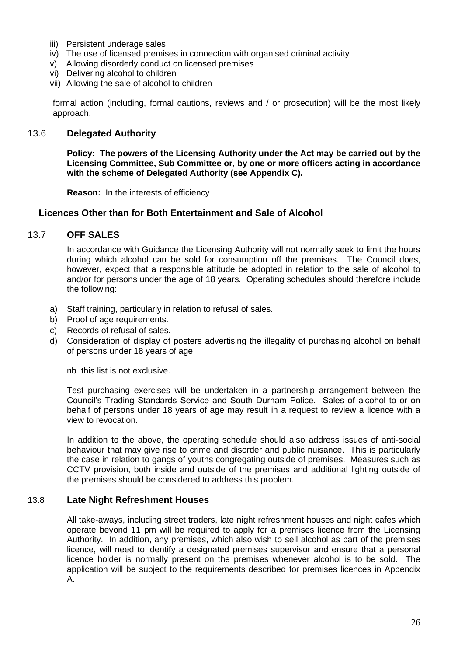- iii) Persistent underage sales
- iv) The use of licensed premises in connection with organised criminal activity
- v) Allowing disorderly conduct on licensed premises
- vi) Delivering alcohol to children
- vii) Allowing the sale of alcohol to children

 formal action (including, formal cautions, reviews and / or prosecution) will be the most likely approach.

#### 13.6 **Delegated Authority**

 **Policy: The powers of the Licensing Authority under the Act may be carried out by the Licensing Committee, Sub Committee or, by one or more officers acting in accordance with the scheme of Delegated Authority (see Appendix C).** 

**Reason:** In the interests of efficiency

#### **Licences Other than for Both Entertainment and Sale of Alcohol**

#### 13.7 **OFF SALES**

 In accordance with Guidance the Licensing Authority will not normally seek to limit the hours during which alcohol can be sold for consumption off the premises. The Council does, however, expect that a responsible attitude be adopted in relation to the sale of alcohol to and/or for persons under the age of 18 years. Operating schedules should therefore include the following:

- a) Staff training, particularly in relation to refusal of sales.
- b) Proof of age requirements.
- c) Records of refusal of sales.
- d) Consideration of display of posters advertising the illegality of purchasing alcohol on behalf of persons under 18 years of age.

nb this list is not exclusive.

 Test purchasing exercises will be undertaken in a partnership arrangement between the Council's Trading Standards Service and South Durham Police. Sales of alcohol to or on behalf of persons under 18 years of age may result in a request to review a licence with a view to revocation.

 In addition to the above, the operating schedule should also address issues of anti-social behaviour that may give rise to crime and disorder and public nuisance. This is particularly the case in relation to gangs of youths congregating outside of premises. Measures such as CCTV provision, both inside and outside of the premises and additional lighting outside of the premises should be considered to address this problem.

#### 13.8 **Late Night Refreshment Houses**

 All take-aways, including street traders, late night refreshment houses and night cafes which operate beyond 11 pm will be required to apply for a premises licence from the Licensing Authority. In addition, any premises, which also wish to sell alcohol as part of the premises licence, will need to identify a designated premises supervisor and ensure that a personal licence holder is normally present on the premises whenever alcohol is to be sold. The application will be subject to the requirements described for premises licences in Appendix A.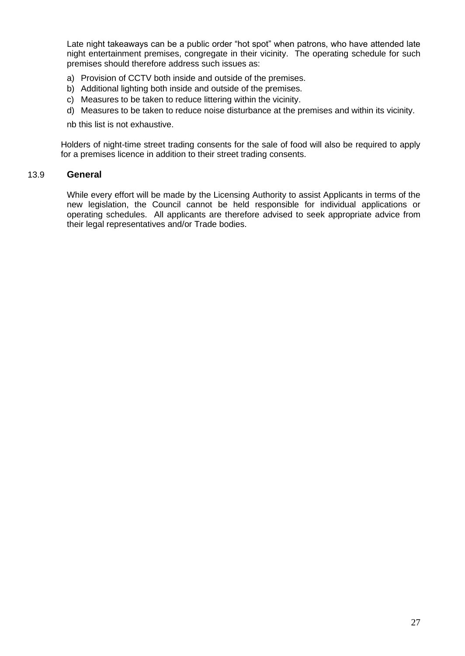Late night takeaways can be a public order "hot spot" when patrons, who have attended late night entertainment premises, congregate in their vicinity. The operating schedule for such premises should therefore address such issues as:

- a) Provision of CCTV both inside and outside of the premises.
- b) Additional lighting both inside and outside of the premises.
- c) Measures to be taken to reduce littering within the vicinity.
- d) Measures to be taken to reduce noise disturbance at the premises and within its vicinity.

nb this list is not exhaustive.

 Holders of night-time street trading consents for the sale of food will also be required to apply for a premises licence in addition to their street trading consents.

#### 13.9 **General**

 While every effort will be made by the Licensing Authority to assist Applicants in terms of the new legislation, the Council cannot be held responsible for individual applications or operating schedules. All applicants are therefore advised to seek appropriate advice from their legal representatives and/or Trade bodies.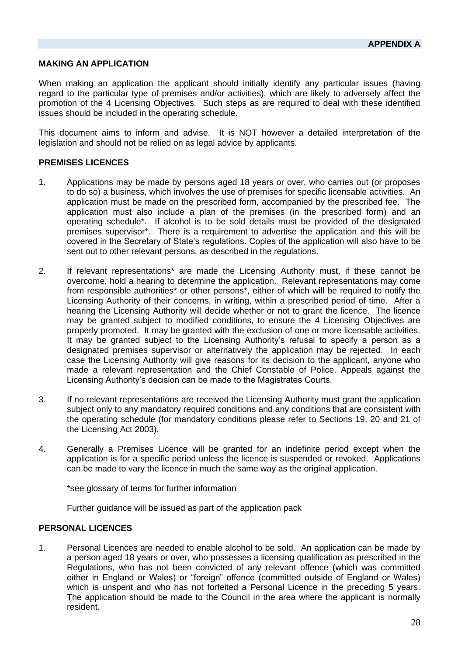#### **MAKING AN APPLICATION**

 When making an application the applicant should initially identify any particular issues (having regard to the particular type of premises and/or activities), which are likely to adversely affect the promotion of the 4 Licensing Objectives. Such steps as are required to deal with these identified issues should be included in the operating schedule.

 This document aims to inform and advise. It is NOT however a detailed interpretation of the legislation and should not be relied on as legal advice by applicants.

#### **PREMISES LICENCES**

- 1. Applications may be made by persons aged 18 years or over, who carries out (or proposes to do so) a business, which involves the use of premises for specific licensable activities. An application must be made on the prescribed form, accompanied by the prescribed fee. The application must also include a plan of the premises (in the prescribed form) and an operating schedule\*. If alcohol is to be sold details must be provided of the designated premises supervisor\*. There is a requirement to advertise the application and this will be covered in the Secretary of State's regulations. Copies of the application will also have to be sent out to other relevant persons, as described in the regulations.
- 2. If relevant representations\* are made the Licensing Authority must, if these cannot be overcome, hold a hearing to determine the application. Relevant representations may come from responsible authorities\* or other persons\*, either of which will be required to notify the Licensing Authority of their concerns, in writing, within a prescribed period of time. After a hearing the Licensing Authority will decide whether or not to grant the licence. The licence may be granted subject to modified conditions, to ensure the 4 Licensing Objectives are properly promoted. It may be granted with the exclusion of one or more licensable activities. It may be granted subject to the Licensing Authority's refusal to specify a person as a designated premises supervisor or alternatively the application may be rejected. In each case the Licensing Authority will give reasons for its decision to the applicant, anyone who made a relevant representation and the Chief Constable of Police. Appeals against the Licensing Authority's decision can be made to the Magistrates Courts.
- 3. If no relevant representations are received the Licensing Authority must grant the application subject only to any mandatory required conditions and any conditions that are consistent with the operating schedule (for mandatory conditions please refer to Sections 19, 20 and 21 of the Licensing Act 2003).
- 4. Generally a Premises Licence will be granted for an indefinite period except when the can be made to vary the licence in much the same way as the original application. application is for a specific period unless the licence is suspended or revoked. Applications

\*see glossary of terms for further information

Further guidance will be issued as part of the application pack

#### **PERSONAL LICENCES**

 1. Personal Licences are needed to enable alcohol to be sold. An application can be made by a person aged 18 years or over, who possesses a licensing qualification as prescribed in the Regulations, who has not been convicted of any relevant offence (which was committed either in England or Wales) or "foreign" offence (committed outside of England or Wales) which is unspent and who has not forfeited a Personal Licence in the preceding 5 years. The application should be made to the Council in the area where the applicant is normally resident.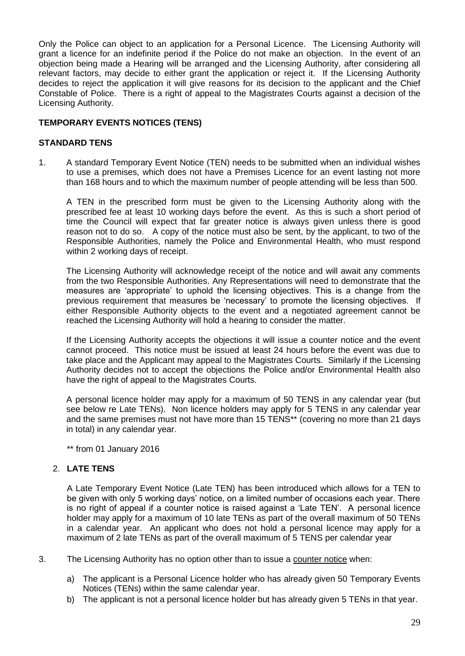Only the Police can object to an application for a Personal Licence. The Licensing Authority will grant a licence for an indefinite period if the Police do not make an objection. In the event of an objection being made a Hearing will be arranged and the Licensing Authority, after considering all relevant factors, may decide to either grant the application or reject it. If the Licensing Authority decides to reject the application it will give reasons for its decision to the applicant and the Chief Constable of Police. There is a right of appeal to the Magistrates Courts against a decision of the Licensing Authority.

#### **TEMPORARY EVENTS NOTICES (TENS)**

#### **STANDARD TENS**

 1. A standard Temporary Event Notice (TEN) needs to be submitted when an individual wishes to use a premises, which does not have a Premises Licence for an event lasting not more than 168 hours and to which the maximum number of people attending will be less than 500.

 A TEN in the prescribed form must be given to the Licensing Authority along with the prescribed fee at least 10 working days before the event. As this is such a short period of time the Council will expect that far greater notice is always given unless there is good reason not to do so. A copy of the notice must also be sent, by the applicant, to two of the Responsible Authorities, namely the Police and Environmental Health, who must respond within 2 working days of receipt.

 The Licensing Authority will acknowledge receipt of the notice and will await any comments from the two Responsible Authorities. Any Representations will need to demonstrate that the measures are 'appropriate' to uphold the licensing objectives. This is a change from the previous requirement that measures be 'necessary' to promote the licensing objectives. If either Responsible Authority objects to the event and a negotiated agreement cannot be reached the Licensing Authority will hold a hearing to consider the matter.

 If the Licensing Authority accepts the objections it will issue a counter notice and the event cannot proceed. This notice must be issued at least 24 hours before the event was due to take place and the Applicant may appeal to the Magistrates Courts. Similarly if the Licensing Authority decides not to accept the objections the Police and/or Environmental Health also have the right of appeal to the Magistrates Courts.

 A personal licence holder may apply for a maximum of 50 TENS in any calendar year (but see below re Late TENs). Non licence holders may apply for 5 TENS in any calendar year and the same premises must not have more than 15 TENS\*\* (covering no more than 21 days in total) in any calendar year.

\*\* from 01 January 2016

#### 2. **LATE TENS**

 A Late Temporary Event Notice (Late TEN) has been introduced which allows for a TEN to be given with only 5 working days' notice, on a limited number of occasions each year. There is no right of appeal if a counter notice is raised against a 'Late TEN'. A personal licence holder may apply for a maximum of 10 late TENs as part of the overall maximum of 50 TENs in a calendar year. An applicant who does not hold a personal licence may apply for a maximum of 2 late TENs as part of the overall maximum of 5 TENS per calendar year

- 3. The Licensing Authority has no option other than to issue a counter notice when:
	- a) The applicant is a Personal Licence holder who has already given 50 Temporary Events Notices (TENs) within the same calendar year.
	- b) The applicant is not a personal licence holder but has already given 5 TENs in that year.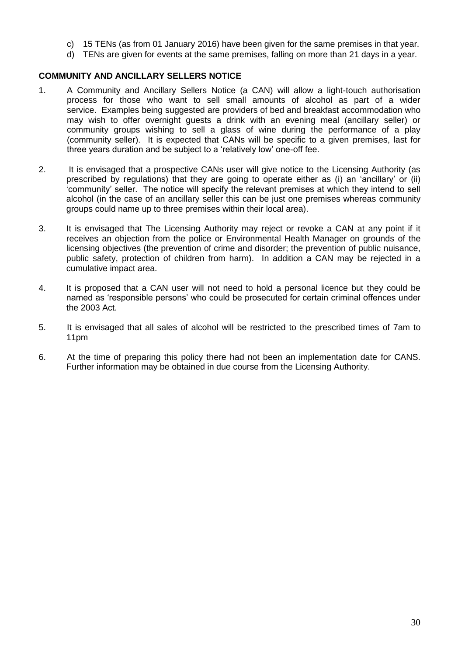- c) 15 TENs (as from 01 January 2016) have been given for the same premises in that year.
- d) TENs are given for events at the same premises, falling on more than 21 days in a year.

#### **COMMUNITY AND ANCILLARY SELLERS NOTICE**

- 1. A Community and Ancillary Sellers Notice (a CAN) will allow a light-touch authorisation process for those who want to sell small amounts of alcohol as part of a wider service. Examples being suggested are providers of bed and breakfast accommodation who may wish to offer overnight guests a drink with an evening meal (ancillary seller) or community groups wishing to sell a glass of wine during the performance of a play (community seller). It is expected that CANs will be specific to a given premises, last for three years duration and be subject to a 'relatively low' one-off fee.
- 2. It is envisaged that a prospective CANs user will give notice to the Licensing Authority (as prescribed by regulations) that they are going to operate either as (i) an 'ancillary' or (ii) 'community' seller. The notice will specify the relevant premises at which they intend to sell alcohol (in the case of an ancillary seller this can be just one premises whereas community groups could name up to three premises within their local area).
- 3. It is envisaged that The Licensing Authority may reject or revoke a CAN at any point if it receives an objection from the police or Environmental Health Manager on grounds of the licensing objectives (the prevention of crime and disorder; the prevention of public nuisance, public safety, protection of children from harm). In addition a CAN may be rejected in a cumulative impact area.
- 4. It is proposed that a CAN user will not need to hold a personal licence but they could be named as 'responsible persons' who could be prosecuted for certain criminal offences under the 2003 Act.
- 5. It is envisaged that all sales of alcohol will be restricted to the prescribed times of 7am to 11pm
- 6. At the time of preparing this policy there had not been an implementation date for CANS. Further information may be obtained in due course from the Licensing Authority.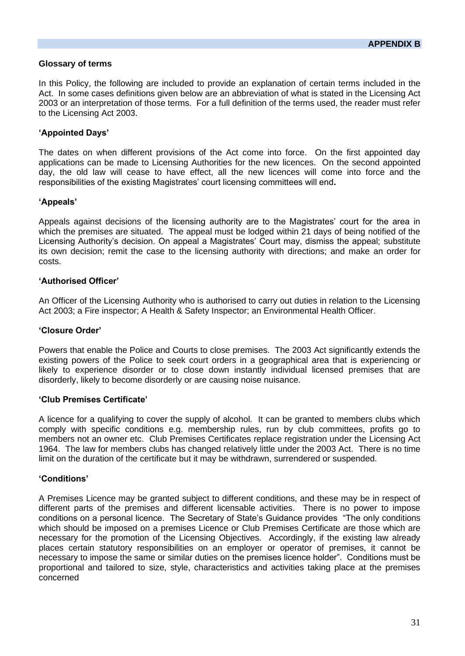#### **Glossary of terms**

 In this Policy, the following are included to provide an explanation of certain terms included in the Act. In some cases definitions given below are an abbreviation of what is stated in the Licensing Act 2003 or an interpretation of those terms. For a full definition of the terms used, the reader must refer to the Licensing Act 2003.

#### **'Appointed Days'**

 The dates on when different provisions of the Act come into force. On the first appointed day applications can be made to Licensing Authorities for the new licences. On the second appointed day, the old law will cease to have effect, all the new licences will come into force and the responsibilities of the existing Magistrates' court licensing committees will end**.** 

#### **'Appeals'**

 Appeals against decisions of the licensing authority are to the Magistrates' court for the area in which the premises are situated. The appeal must be lodged within 21 days of being notified of the Licensing Authority's decision. On appeal a Magistrates' Court may, dismiss the appeal; substitute its own decision; remit the case to the licensing authority with directions; and make an order for costs.

#### **'Authorised Officer'**

 An Officer of the Licensing Authority who is authorised to carry out duties in relation to the Licensing Act 2003; a Fire inspector; A Health & Safety Inspector; an Environmental Health Officer.

#### **'Closure Order'**

 Powers that enable the Police and Courts to close premises. The 2003 Act significantly extends the existing powers of the Police to seek court orders in a geographical area that is experiencing or likely to experience disorder or to close down instantly individual licensed premises that are disorderly, likely to become disorderly or are causing noise nuisance.

#### **'Club Premises Certificate'**

 A licence for a qualifying to cover the supply of alcohol. It can be granted to members clubs which comply with specific conditions e.g. membership rules, run by club committees, profits go to members not an owner etc. Club Premises Certificates replace registration under the Licensing Act 1964. The law for members clubs has changed relatively little under the 2003 Act. There is no time limit on the duration of the certificate but it may be withdrawn, surrendered or suspended.

#### **'Conditions'**

 A Premises Licence may be granted subject to different conditions, and these may be in respect of different parts of the premises and different licensable activities. There is no power to impose conditions on a personal licence. The Secretary of State's Guidance provides "The only conditions which should be imposed on a premises Licence or Club Premises Certificate are those which are necessary for the promotion of the Licensing Objectives. Accordingly, if the existing law already places certain statutory responsibilities on an employer or operator of premises, it cannot be necessary to impose the same or similar duties on the premises licence holder". Conditions must be proportional and tailored to size, style, characteristics and activities taking place at the premises concerned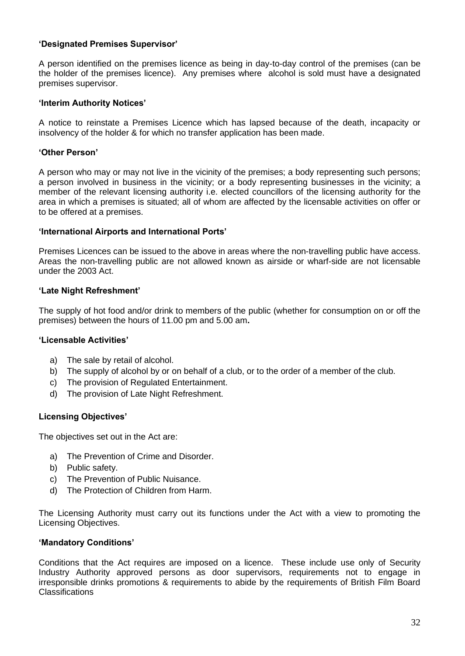#### **'Designated Premises Supervisor'**

 A person identified on the premises licence as being in day-to-day control of the premises (can be the holder of the premises licence). Any premises where alcohol is sold must have a designated premises supervisor.

#### **'Interim Authority Notices'**

 A notice to reinstate a Premises Licence which has lapsed because of the death, incapacity or insolvency of the holder & for which no transfer application has been made.

#### **'Other Person'**

 A person who may or may not live in the vicinity of the premises; a body representing such persons; a person involved in business in the vicinity; or a body representing businesses in the vicinity; a member of the relevant licensing authority i.e. elected councillors of the licensing authority for the area in which a premises is situated; all of whom are affected by the licensable activities on offer or to be offered at a premises.

#### **'International Airports and International Ports'**

 Premises Licences can be issued to the above in areas where the non-travelling public have access. Areas the non-travelling public are not allowed known as airside or wharf-side are not licensable under the 2003 Act.

#### **'Late Night Refreshment'**

 The supply of hot food and/or drink to members of the public (whether for consumption on or off the premises) between the hours of 11.00 pm and 5.00 am**.** 

#### **'Licensable Activities'**

- a) The sale by retail of alcohol.
- b) The supply of alcohol by or on behalf of a club, or to the order of a member of the club.
- c) The provision of Regulated Entertainment.
- d) The provision of Late Night Refreshment.

#### **Licensing Objectives'**

The objectives set out in the Act are:

- a) The Prevention of Crime and Disorder.
- b) Public safety.
- c) The Prevention of Public Nuisance.
- d) The Protection of Children from Harm.

 The Licensing Authority must carry out its functions under the Act with a view to promoting the Licensing Objectives.

#### **'Mandatory Conditions'**

 Conditions that the Act requires are imposed on a licence. These include use only of Security Industry Authority approved persons as door supervisors, requirements not to engage in irresponsible drinks promotions & requirements to abide by the requirements of British Film Board Classifications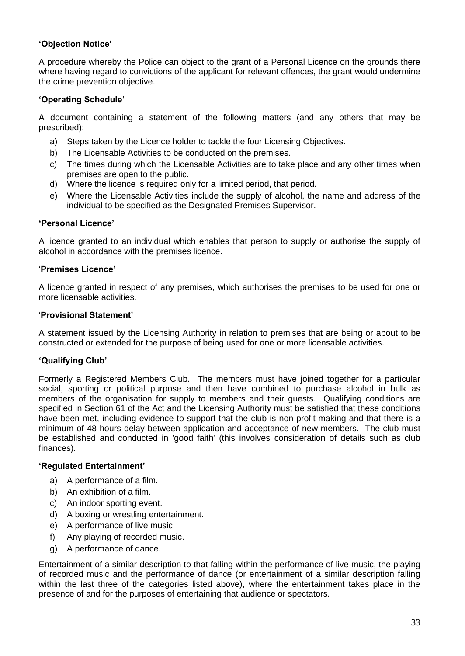#### **'Objection Notice'**

 A procedure whereby the Police can object to the grant of a Personal Licence on the grounds there where having regard to convictions of the applicant for relevant offences, the grant would undermine the crime prevention objective.

#### **'Operating Schedule'**

 A document containing a statement of the following matters (and any others that may be prescribed):

- a) Steps taken by the Licence holder to tackle the four Licensing Objectives.
- b) The Licensable Activities to be conducted on the premises.
- c) The times during which the Licensable Activities are to take place and any other times when premises are open to the public.
- d) Where the licence is required only for a limited period, that period.
- e) Where the Licensable Activities include the supply of alcohol, the name and address of the individual to be specified as the Designated Premises Supervisor.

#### **'Personal Licence'**

 A licence granted to an individual which enables that person to supply or authorise the supply of alcohol in accordance with the premises licence.

#### '**Premises Licence'**

 A licence granted in respect of any premises, which authorises the premises to be used for one or more licensable activities.

#### '**Provisional Statement'**

 A statement issued by the Licensing Authority in relation to premises that are being or about to be constructed or extended for the purpose of being used for one or more licensable activities.

#### **'Qualifying Club'**

 Formerly a Registered Members Club. The members must have joined together for a particular social, sporting or political purpose and then have combined to purchase alcohol in bulk as members of the organisation for supply to members and their guests. Qualifying conditions are specified in Section 61 of the Act and the Licensing Authority must be satisfied that these conditions have been met, including evidence to support that the club is non-profit making and that there is a minimum of 48 hours delay between application and acceptance of new members. The club must be established and conducted in 'good faith' (this involves consideration of details such as club finances).

#### **'Regulated Entertainment'**

- a) A performance of a film.
- b) An exhibition of a film.
- c) An indoor sporting event.
- d) A boxing or wrestling entertainment.
- e) A performance of live music.
- f) Any playing of recorded music.
- g) A performance of dance.

 Entertainment of a similar description to that falling within the performance of live music, the playing of recorded music and the performance of dance (or entertainment of a similar description falling within the last three of the categories listed above), where the entertainment takes place in the presence of and for the purposes of entertaining that audience or spectators.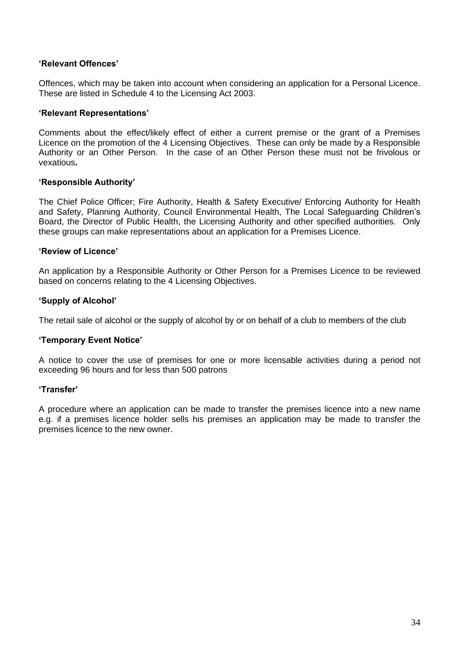#### **'Relevant Offences'**

 Offences, which may be taken into account when considering an application for a Personal Licence. These are listed in Schedule 4 to the Licensing Act 2003.

#### **'Relevant Representations'**

 Comments about the effect/likely effect of either a current premise or the grant of a Premises Licence on the promotion of the 4 Licensing Objectives. These can only be made by a Responsible Authority or an Other Person. In the case of an Other Person these must not be frivolous or vexatious**.** 

#### **'Responsible Authority'**

 The Chief Police Officer; Fire Authority, Health & Safety Executive/ Enforcing Authority for Health and Safety, Planning Authority, Council Environmental Health, The Local Safeguarding Children's Board, the Director of Public Health, the Licensing Authority and other specified authorities. Only these groups can make representations about an application for a Premises Licence.

#### **'Review of Licence'**

 An application by a Responsible Authority or Other Person for a Premises Licence to be reviewed based on concerns relating to the 4 Licensing Objectives.

#### **'Supply of Alcohol'**

The retail sale of alcohol or the supply of alcohol by or on behalf of a club to members of the club

#### **'Temporary Event Notice'**

 A notice to cover the use of premises for one or more licensable activities during a period not exceeding 96 hours and for less than 500 patrons

#### **'Transfer'**

 A procedure where an application can be made to transfer the premises licence into a new name e.g. if a premises licence holder sells his premises an application may be made to transfer the premises licence to the new owner.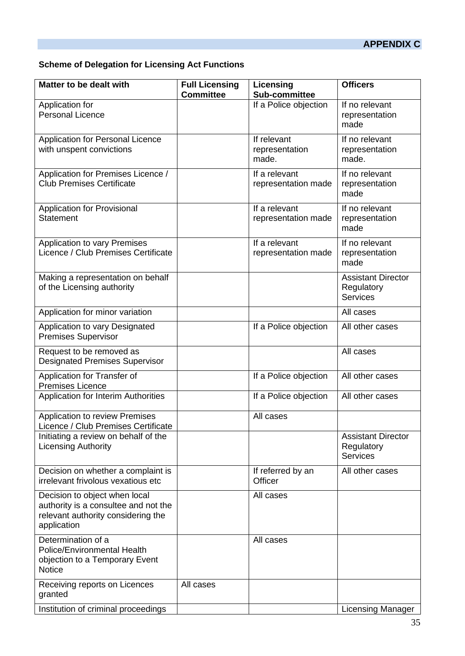## **APPENDIX C**

#### **Scheme of Delegation for Licensing Act Functions**

| Matter to be dealt with                                                                                                    | <b>Full Licensing</b><br><b>Committee</b> | Licensing<br>Sub-committee             | <b>Officers</b>                                            |
|----------------------------------------------------------------------------------------------------------------------------|-------------------------------------------|----------------------------------------|------------------------------------------------------------|
| Application for<br><b>Personal Licence</b>                                                                                 |                                           | If a Police objection                  | If no relevant<br>representation<br>made                   |
| Application for Personal Licence<br>with unspent convictions                                                               |                                           | If relevant<br>representation<br>made. | If no relevant<br>representation<br>made.                  |
| Application for Premises Licence /<br><b>Club Premises Certificate</b>                                                     |                                           | If a relevant<br>representation made   | If no relevant<br>representation<br>made                   |
| Application for Provisional<br><b>Statement</b>                                                                            |                                           | If a relevant<br>representation made   | If no relevant<br>representation<br>made                   |
| Application to vary Premises<br>Licence / Club Premises Certificate                                                        |                                           | If a relevant<br>representation made   | If no relevant<br>representation<br>made                   |
| Making a representation on behalf<br>of the Licensing authority                                                            |                                           |                                        | <b>Assistant Director</b><br>Regulatory<br><b>Services</b> |
| Application for minor variation                                                                                            |                                           |                                        | All cases                                                  |
| Application to vary Designated<br><b>Premises Supervisor</b>                                                               |                                           | If a Police objection                  | All other cases                                            |
| Request to be removed as<br><b>Designated Premises Supervisor</b>                                                          |                                           |                                        | All cases                                                  |
| Application for Transfer of<br><b>Premises Licence</b>                                                                     |                                           | If a Police objection                  | All other cases                                            |
| Application for Interim Authorities                                                                                        |                                           | If a Police objection                  | All other cases                                            |
| <b>Application to review Premises</b><br>Licence / Club Premises Certificate                                               |                                           | All cases                              |                                                            |
| Initiating a review on behalf of the<br><b>Licensing Authority</b>                                                         |                                           |                                        | <b>Assistant Director</b><br>Regulatory<br><b>Services</b> |
| Decision on whether a complaint is<br>irrelevant frivolous vexatious etc                                                   |                                           | If referred by an<br>Officer           | All other cases                                            |
| Decision to object when local<br>authority is a consultee and not the<br>relevant authority considering the<br>application |                                           | All cases                              |                                                            |
| Determination of a<br>Police/Environmental Health<br>objection to a Temporary Event<br><b>Notice</b>                       |                                           | All cases                              |                                                            |
| Receiving reports on Licences<br>granted                                                                                   | All cases                                 |                                        |                                                            |
| Institution of criminal proceedings                                                                                        |                                           |                                        | <b>Licensing Manager</b>                                   |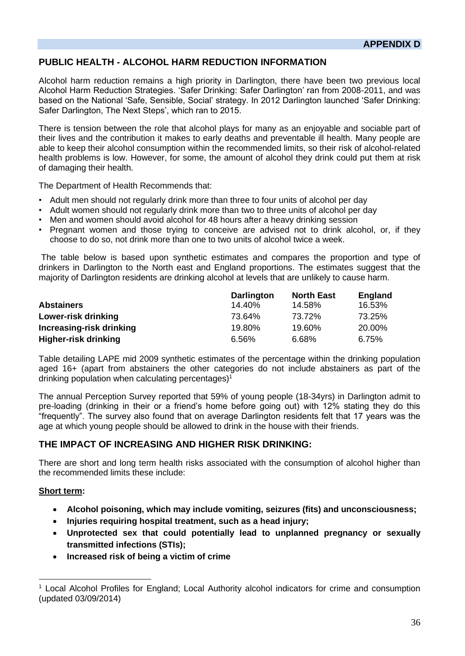## **PUBLIC HEALTH - ALCOHOL HARM REDUCTION INFORMATION**

 Alcohol harm reduction remains a high priority in Darlington, there have been two previous local Alcohol Harm Reduction Strategies. 'Safer Drinking: Safer Darlington' ran from 2008-2011, and was based on the National 'Safe, Sensible, Social' strategy. In 2012 Darlington launched 'Safer Drinking: Safer Darlington, The Next Steps', which ran to 2015.

 There is tension between the role that alcohol plays for many as an enjoyable and sociable part of able to keep their alcohol consumption within the recommended limits, so their risk of alcohol-related health problems is low. However, for some, the amount of alcohol they drink could put them at risk of damaging their health. their lives and the contribution it makes to early deaths and preventable ill health. Many people are

The Department of Health Recommends that:

- Adult men should not regularly drink more than three to four units of alcohol per day
- Adult women should not regularly drink more than two to three units of alcohol per day
- Men and women should avoid alcohol for 48 hours after a heavy drinking session
- • Pregnant women and those trying to conceive are advised not to drink alcohol, or, if they choose to do so, not drink more than one to two units of alcohol twice a week.

 The table below is based upon synthetic estimates and compares the proportion and type of drinkers in Darlington to the North east and England proportions. The estimates suggest that the majority of Darlington residents are drinking alcohol at levels that are unlikely to cause harm.

|                          | <b>Darlington</b> | <b>North East</b> | England |
|--------------------------|-------------------|-------------------|---------|
| <b>Abstainers</b>        | 14.40%            | 14.58%            | 16.53%  |
| Lower-risk drinking      | 73.64%            | 73.72%            | 73.25%  |
| Increasing-risk drinking | 19.80%            | 19.60%            | 20.00%  |
| Higher-risk drinking     | 6.56%             | 6.68%             | 6.75%   |

 Table detailing LAPE mid 2009 synthetic estimates of the percentage within the drinking population aged 16+ (apart from abstainers the other categories do not include abstainers as part of the drinking population when calculating percentages)<sup>1</sup>

 The annual Perception Survey reported that 59% of young people (18-34yrs) in Darlington admit to pre-loading (drinking in their or a friend's home before going out) with 12% stating they do this "frequently". The survey also found that on average Darlington residents felt that 17 years was the age at which young people should be allowed to drink in the house with their friends.

#### **THE IMPACT OF INCREASING AND HIGHER RISK DRINKING:**

 There are short and long term health risks associated with the consumption of alcohol higher than the recommended limits these include:

#### **Short term:**

- **Alcohol poisoning, which may include vomiting, seizures (fits) and unconsciousness;**
- **Injuries requiring hospital treatment, such as a head injury;**
- **Unprotected sex that could potentially lead to unplanned pregnancy or sexually transmitted infections (STIs);**
- **Increased risk of being a victim of crime**

<sup>&</sup>lt;sup>1</sup> Local Alcohol Profiles for England; Local Authority alcohol indicators for crime and consumption (updated 03/09/2014)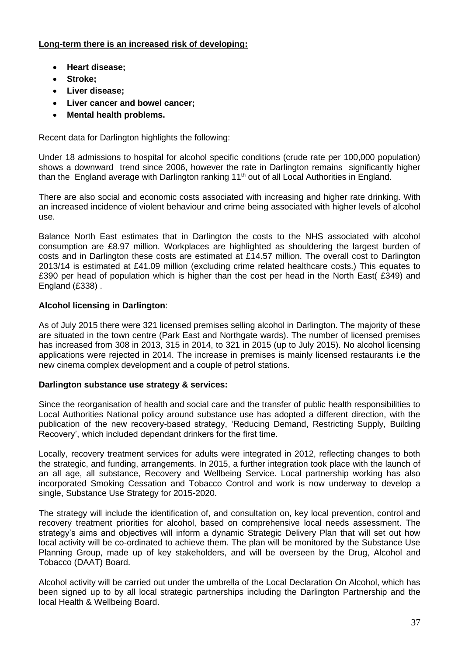#### **Long-term there is an increased risk of developing:**

- **Heart disease;**
- **Stroke;**
- **Liver disease;**
- **Liver cancer and bowel cancer;**
- **Mental health problems.**

Recent data for Darlington highlights the following:

 Under 18 admissions to hospital for alcohol specific conditions (crude rate per 100,000 population) shows a downward trend since 2006, however the rate in Darlington remains significantly higher than the England average with Darlington ranking 11<sup>th</sup> out of all Local Authorities in England.

 There are also social and economic costs associated with increasing and higher rate drinking. With an increased incidence of violent behaviour and crime being associated with higher levels of alcohol use.

 Balance North East estimates that in Darlington the costs to the NHS associated with alcohol consumption are £8.97 million. Workplaces are highlighted as shouldering the largest burden of costs and in Darlington these costs are estimated at £14.57 million. The overall cost to Darlington 2013/14 is estimated at £41.09 million (excluding crime related healthcare costs.) This equates to £390 per head of population which is higher than the cost per head in the North East( £349) and England (£338) .

## **Alcohol licensing in Darlington**:

 As of July 2015 there were 321 licensed premises selling alcohol in Darlington. The majority of these are situated in the town centre (Park East and Northgate wards). The number of licensed premises has increased from 308 in 2013, 315 in 2014, to 321 in 2015 (up to July 2015). No alcohol licensing applications were rejected in 2014. The increase in premises is mainly licensed restaurants i.e the new cinema complex development and a couple of petrol stations.

#### **Darlington substance use strategy & services:**

 Since the reorganisation of health and social care and the transfer of public health responsibilities to Local Authorities National policy around substance use has adopted a different direction, with the publication of the new recovery-based strategy, 'Reducing Demand, Restricting Supply, Building Recovery', which included dependant drinkers for the first time.

 Locally, recovery treatment services for adults were integrated in 2012, reflecting changes to both the strategic, and funding, arrangements. In 2015, a further integration took place with the launch of an all age, all substance, Recovery and Wellbeing Service. Local partnership working has also incorporated Smoking Cessation and Tobacco Control and work is now underway to develop a single, Substance Use Strategy for 2015-2020.

 The strategy will include the identification of, and consultation on, key local prevention, control and recovery treatment priorities for alcohol, based on comprehensive local needs assessment. The strategy's aims and objectives will inform a dynamic Strategic Delivery Plan that will set out how local activity will be co-ordinated to achieve them. The plan will be monitored by the Substance Use Planning Group, made up of key stakeholders, and will be overseen by the Drug, Alcohol and Tobacco (DAAT) Board.

 Alcohol activity will be carried out under the umbrella of the Local Declaration On Alcohol, which has been signed up to by all local strategic partnerships including the Darlington Partnership and the local Health & Wellbeing Board.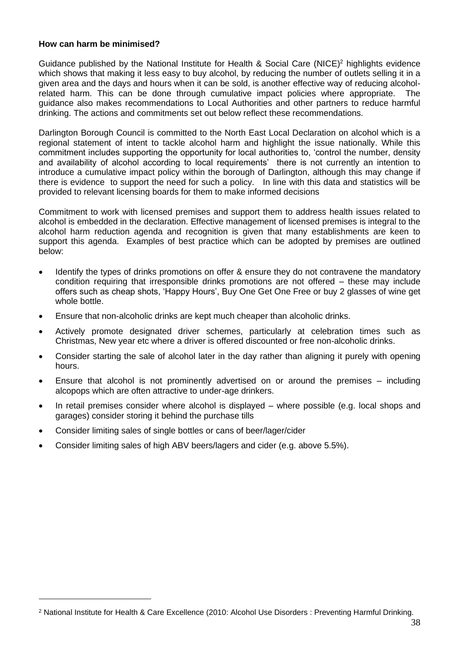#### **How can harm be minimised?**

Guidance published by the National Institute for Health & Social Care (NICE)<sup>2</sup> highlights evidence which shows that making it less easy to buy alcohol, by reducing the number of outlets selling it in a given area and the days and hours when it can be sold, is another effective way of reducing alcohol- related harm. This can be done through cumulative impact policies where appropriate. The guidance also makes recommendations to Local Authorities and other partners to reduce harmful drinking. The actions and commitments set out below reflect these recommendations.

 Darlington Borough Council is committed to the North East Local Declaration on alcohol which is a regional statement of intent to tackle alcohol harm and highlight the issue nationally. While this commitment includes supporting the opportunity for local authorities to, 'control the number, density and availability of alcohol according to local requirements' there is not currently an intention to introduce a cumulative impact policy within the borough of Darlington, although this may change if there is evidence to support the need for such a policy. In line with this data and statistics will be provided to relevant licensing boards for them to make informed decisions

 Commitment to work with licensed premises and support them to address health issues related to alcohol is embedded in the declaration. Effective management of licensed premises is integral to the alcohol harm reduction agenda and recognition is given that many establishments are keen to support this agenda. Examples of best practice which can be adopted by premises are outlined below:

- • Identify the types of drinks promotions on offer & ensure they do not contravene the mandatory condition requiring that irresponsible drinks promotions are not offered – these may include offers such as cheap shots, 'Happy Hours', Buy One Get One Free or buy 2 glasses of wine get whole bottle.
- Ensure that non-alcoholic drinks are kept much cheaper than alcoholic drinks.
- • Actively promote designated driver schemes, particularly at celebration times such as Christmas, New year etc where a driver is offered discounted or free non-alcoholic drinks.
- • Consider starting the sale of alcohol later in the day rather than aligning it purely with opening hours.
- • Ensure that alcohol is not prominently advertised on or around the premises including alcopops which are often attractive to under-age drinkers.
- • In retail premises consider where alcohol is displayed where possible (e.g. local shops and garages) consider storing it behind the purchase tills
- Consider limiting sales of single bottles or cans of beer/lager/cider
- Consider limiting sales of high ABV beers/lagers and cider (e.g. above 5.5%).

<sup>2</sup> National Institute for Health & Care Excellence (2010: Alcohol Use Disorders : Preventing Harmful Drinking.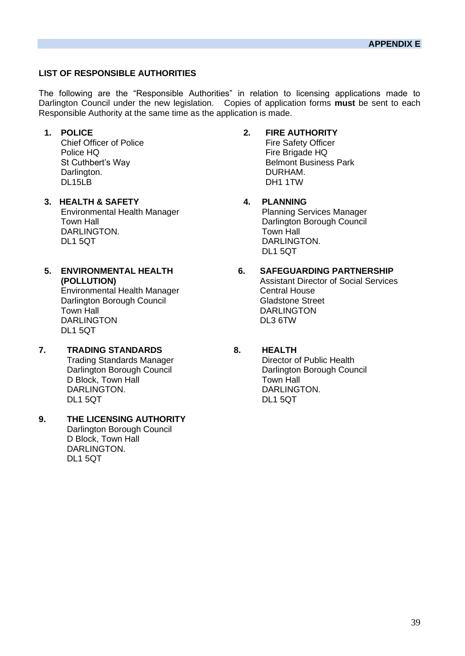#### **LIST OF RESPONSIBLE AUTHORITIES**

 The following are the "Responsible Authorities" in relation to licensing applications made to Darlington Council under the new legislation. Copies of application forms **must** be sent to each Responsible Authority at the same time as the application is made.

**Chief Officer of Police** St Cuthbert's Way Darlington. Chief Officer of Police<br>
Police HQ<br>
Fire Safety Officer<br>
Fire Brigade HQ Darlington. DURHAM. DL15LB DH1 1TW

- DARLINGTON. TOWN HALL Town Hall **The Council Council** Council Darlington Borough Council **3. HEALTH & SAFETY 4. PLANNING**  Environmental Health Manager Planning Services Manager DL1 5QT DARLINGTON. DL1 5QT
- **5. ENVIRONMENTAL HEALTH** Environmental Health Manager Central House Darlington Borough Council Council Gladstone Street

DARLINGTON DL1 5QT

- Darlington Borough Council **7. TRADING STANDARDS 8. HEALTH**  Trading Standards Manager D Block, Town Hall Town Hall Town Hall DARLING
- Darlington Borough Council DARLINGTON.<br>DL1 5QT **9. THE LICENSING AUTHORITY**  D Block, Town Hall

#### **1. POLICE 2. FIRE AUTHORITY**

St Cuthbert's Way **Belmont Business Park** DURHAM. Fire Brigade HQ

DARLINGTON.

## **6. SAFEGUARDING PARTNERSHIP**

 **(POLLUTION)** Assistant Director of Social Services Town Hall **The Contract Contract Contract Contract Contract Contract Contract Contract Contract Contract Contract Contract Contract Contract Contract Contract Contract Contract Contract Contract Contract Contract Contract** 

**Director of Public Health** Darlington Borough Council **Darlington Borough Council** DARLINGTON. DARLINGTON. DARLINGTON. DL1 5QT DL1 5QT